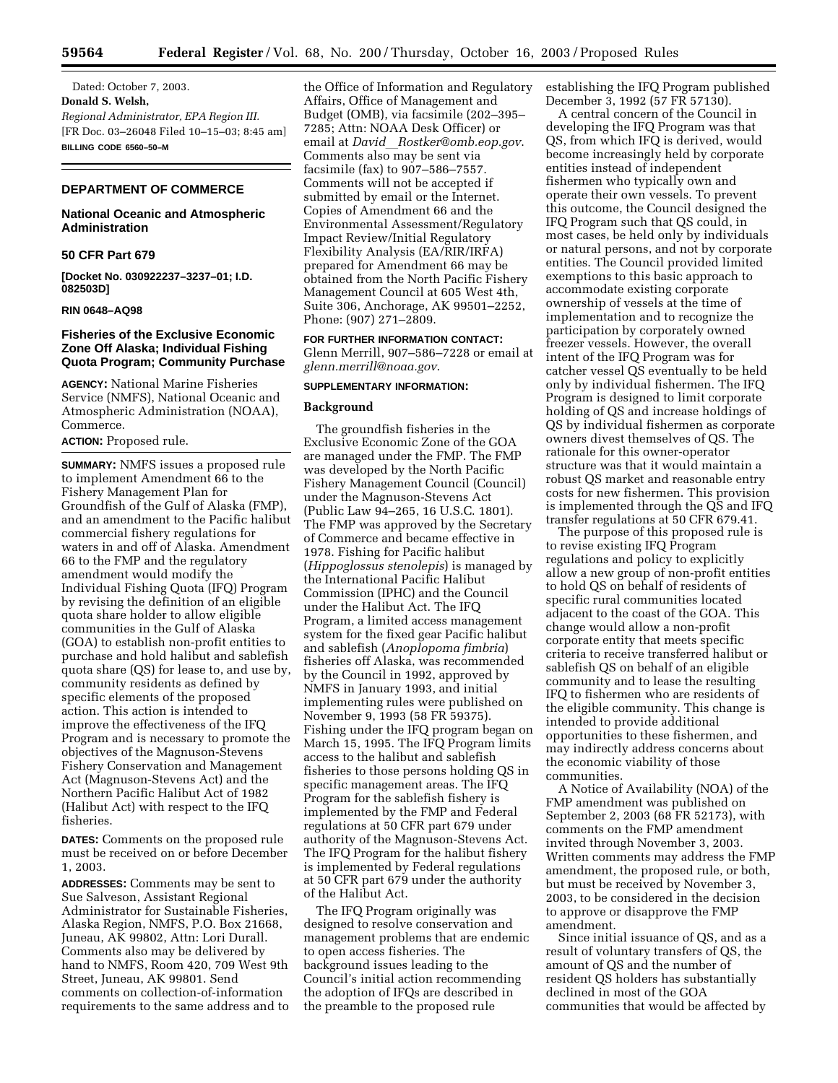Dated: October 7, 2003. **Donald S. Welsh,**  *Regional Administrator, EPA Region III.* [FR Doc. 03–26048 Filed 10–15–03; 8:45 am] **BILLING CODE 6560–50–M**

# **DEPARTMENT OF COMMERCE**

# **National Oceanic and Atmospheric Administration**

### **50 CFR Part 679**

**[Docket No. 030922237–3237–01; I.D. 082503D]**

## **RIN 0648–AQ98**

# **Fisheries of the Exclusive Economic Zone Off Alaska; Individual Fishing Quota Program; Community Purchase**

**AGENCY:** National Marine Fisheries Service (NMFS), National Oceanic and Atmospheric Administration (NOAA), Commerce.

## **ACTION:** Proposed rule.

**SUMMARY:** NMFS issues a proposed rule to implement Amendment 66 to the Fishery Management Plan for Groundfish of the Gulf of Alaska (FMP), and an amendment to the Pacific halibut commercial fishery regulations for waters in and off of Alaska. Amendment 66 to the FMP and the regulatory amendment would modify the Individual Fishing Quota (IFQ) Program by revising the definition of an eligible quota share holder to allow eligible communities in the Gulf of Alaska (GOA) to establish non-profit entities to purchase and hold halibut and sablefish quota share (QS) for lease to, and use by, community residents as defined by specific elements of the proposed action. This action is intended to improve the effectiveness of the IFQ Program and is necessary to promote the objectives of the Magnuson-Stevens Fishery Conservation and Management Act (Magnuson-Stevens Act) and the Northern Pacific Halibut Act of 1982 (Halibut Act) with respect to the IFQ fisheries.

**DATES:** Comments on the proposed rule must be received on or before December 1, 2003.

**ADDRESSES:** Comments may be sent to Sue Salveson, Assistant Regional Administrator for Sustainable Fisheries, Alaska Region, NMFS, P.O. Box 21668, Juneau, AK 99802, Attn: Lori Durall. Comments also may be delivered by hand to NMFS, Room 420, 709 West 9th Street, Juneau, AK 99801. Send comments on collection-of-information requirements to the same address and to

the Office of Information and Regulatory Affairs, Office of Management and Budget (OMB), via facsimile (202–395– 7285; Attn: NOAA Desk Officer) or email at *David\_[Rostker@omb.eop.gov](mailto:David_Rostker@omb.eop.gov)*. Comments also may be sent via facsimile (fax) to 907–586–7557. Comments will not be accepted if submitted by email or the Internet. Copies of Amendment 66 and the Environmental Assessment/Regulatory Impact Review/Initial Regulatory Flexibility Analysis (EA/RIR/IRFA) prepared for Amendment 66 may be obtained from the North Pacific Fishery Management Council at 605 West 4th, Suite 306, Anchorage, AK 99501–2252, Phone: (907) 271–2809.

**FOR FURTHER INFORMATION CONTACT:** Glenn Merrill, 907–586–7228 or email at *[glenn.merrill@noaa.gov](mailto:glenn.merrill@noaa.gov)*.

## **SUPPLEMENTARY INFORMATION:**

### **Background**

The groundfish fisheries in the Exclusive Economic Zone of the GOA are managed under the FMP. The FMP was developed by the North Pacific Fishery Management Council (Council) under the Magnuson-Stevens Act (Public Law 94–265, 16 U.S.C. 1801). The FMP was approved by the Secretary of Commerce and became effective in 1978. Fishing for Pacific halibut (*Hippoglossus stenolepis*) is managed by the International Pacific Halibut Commission (IPHC) and the Council under the Halibut Act. The IFQ Program, a limited access management system for the fixed gear Pacific halibut and sablefish (*Anoplopoma fimbria*) fisheries off Alaska, was recommended by the Council in 1992, approved by NMFS in January 1993, and initial implementing rules were published on November 9, 1993 (58 FR 59375). Fishing under the IFQ program began on March 15, 1995. The IFQ Program limits access to the halibut and sablefish fisheries to those persons holding QS in specific management areas. The IFQ Program for the sablefish fishery is implemented by the FMP and Federal regulations at 50 CFR part 679 under authority of the Magnuson-Stevens Act. The IFQ Program for the halibut fishery is implemented by Federal regulations at 50 CFR part 679 under the authority of the Halibut Act.

The IFQ Program originally was designed to resolve conservation and management problems that are endemic to open access fisheries. The background issues leading to the Council's initial action recommending the adoption of IFQs are described in the preamble to the proposed rule

establishing the IFQ Program published December 3, 1992 (57 FR 57130).

A central concern of the Council in developing the IFQ Program was that QS, from which IFQ is derived, would become increasingly held by corporate entities instead of independent fishermen who typically own and operate their own vessels. To prevent this outcome, the Council designed the IFQ Program such that QS could, in most cases, be held only by individuals or natural persons, and not by corporate entities. The Council provided limited exemptions to this basic approach to accommodate existing corporate ownership of vessels at the time of implementation and to recognize the participation by corporately owned freezer vessels. However, the overall intent of the IFQ Program was for catcher vessel QS eventually to be held only by individual fishermen. The IFQ Program is designed to limit corporate holding of QS and increase holdings of QS by individual fishermen as corporate owners divest themselves of QS. The rationale for this owner-operator structure was that it would maintain a robust QS market and reasonable entry costs for new fishermen. This provision is implemented through the QS and IFQ transfer regulations at 50 CFR 679.41.

The purpose of this proposed rule is to revise existing IFQ Program regulations and policy to explicitly allow a new group of non-profit entities to hold QS on behalf of residents of specific rural communities located adjacent to the coast of the GOA. This change would allow a non-profit corporate entity that meets specific criteria to receive transferred halibut or sablefish QS on behalf of an eligible community and to lease the resulting IFQ to fishermen who are residents of the eligible community. This change is intended to provide additional opportunities to these fishermen, and may indirectly address concerns about the economic viability of those communities.

A Notice of Availability (NOA) of the FMP amendment was published on September 2, 2003 (68 FR 52173), with comments on the FMP amendment invited through November 3, 2003. Written comments may address the FMP amendment, the proposed rule, or both, but must be received by November 3, 2003, to be considered in the decision to approve or disapprove the FMP amendment.

Since initial issuance of QS, and as a result of voluntary transfers of QS, the amount of QS and the number of resident QS holders has substantially declined in most of the GOA communities that would be affected by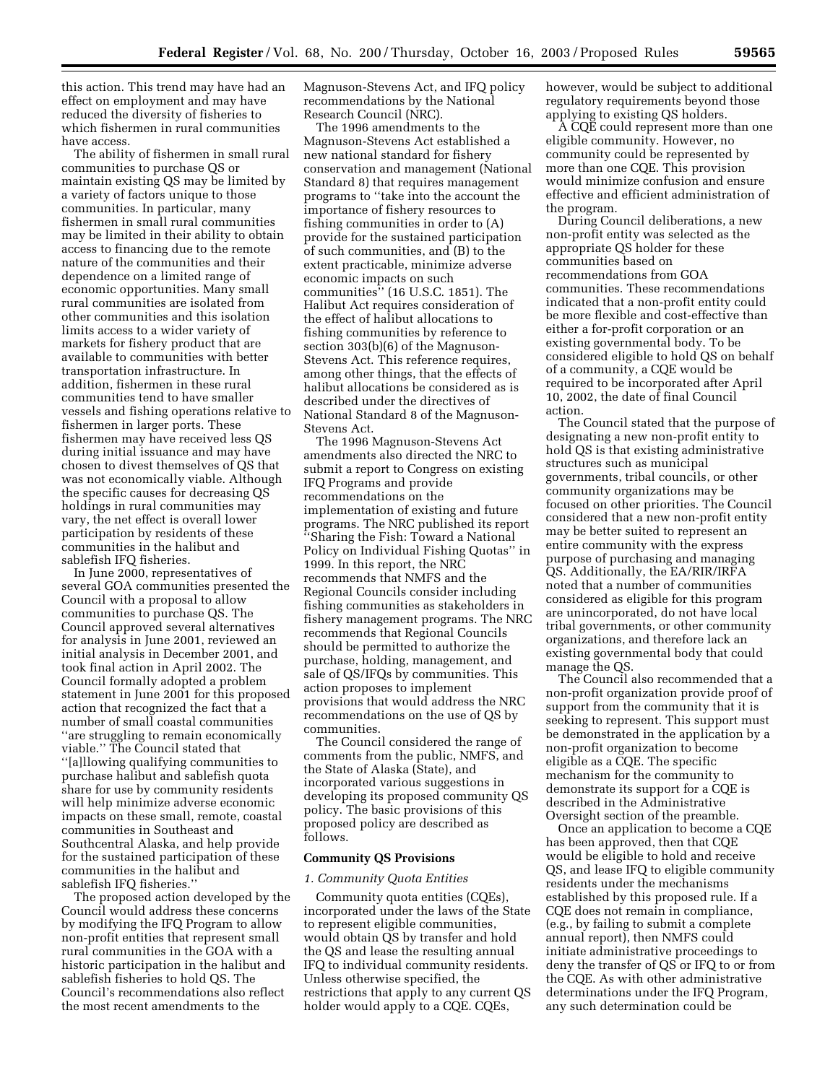this action. This trend may have had an effect on employment and may have reduced the diversity of fisheries to which fishermen in rural communities have access.

The ability of fishermen in small rural communities to purchase QS or maintain existing QS may be limited by a variety of factors unique to those communities. In particular, many fishermen in small rural communities may be limited in their ability to obtain access to financing due to the remote nature of the communities and their dependence on a limited range of economic opportunities. Many small rural communities are isolated from other communities and this isolation limits access to a wider variety of markets for fishery product that are available to communities with better transportation infrastructure. In addition, fishermen in these rural communities tend to have smaller vessels and fishing operations relative to fishermen in larger ports. These fishermen may have received less QS during initial issuance and may have chosen to divest themselves of QS that was not economically viable. Although the specific causes for decreasing QS holdings in rural communities may vary, the net effect is overall lower participation by residents of these communities in the halibut and sablefish IFQ fisheries.

In June 2000, representatives of several GOA communities presented the Council with a proposal to allow communities to purchase QS. The Council approved several alternatives for analysis in June 2001, reviewed an initial analysis in December 2001, and took final action in April 2002. The Council formally adopted a problem statement in June 2001 for this proposed action that recognized the fact that a number of small coastal communities ''are struggling to remain economically viable.'' The Council stated that ''[a]llowing qualifying communities to purchase halibut and sablefish quota share for use by community residents will help minimize adverse economic impacts on these small, remote, coastal communities in Southeast and Southcentral Alaska, and help provide for the sustained participation of these communities in the halibut and sablefish IFQ fisheries.''

The proposed action developed by the Council would address these concerns by modifying the IFQ Program to allow non-profit entities that represent small rural communities in the GOA with a historic participation in the halibut and sablefish fisheries to hold QS. The Council's recommendations also reflect the most recent amendments to the

Magnuson-Stevens Act, and IFQ policy recommendations by the National Research Council (NRC).

The 1996 amendments to the Magnuson-Stevens Act established a new national standard for fishery conservation and management (National Standard 8) that requires management programs to ''take into the account the importance of fishery resources to fishing communities in order to (A) provide for the sustained participation of such communities, and (B) to the extent practicable, minimize adverse economic impacts on such communities'' (16 U.S.C. 1851). The Halibut Act requires consideration of the effect of halibut allocations to fishing communities by reference to section 303(b)(6) of the Magnuson-Stevens Act. This reference requires, among other things, that the effects of halibut allocations be considered as is described under the directives of National Standard 8 of the Magnuson-Stevens Act.

The 1996 Magnuson-Stevens Act amendments also directed the NRC to submit a report to Congress on existing IFQ Programs and provide recommendations on the implementation of existing and future programs. The NRC published its report ''Sharing the Fish: Toward a National Policy on Individual Fishing Quotas'' in 1999. In this report, the NRC recommends that NMFS and the Regional Councils consider including fishing communities as stakeholders in fishery management programs. The NRC recommends that Regional Councils should be permitted to authorize the purchase, holding, management, and sale of QS/IFQs by communities. This action proposes to implement provisions that would address the NRC recommendations on the use of QS by communities.

The Council considered the range of comments from the public, NMFS, and the State of Alaska (State), and incorporated various suggestions in developing its proposed community QS policy. The basic provisions of this proposed policy are described as follows.

### **Community QS Provisions**

#### *1. Community Quota Entities*

Community quota entities (CQEs), incorporated under the laws of the State to represent eligible communities, would obtain QS by transfer and hold the QS and lease the resulting annual IFQ to individual community residents. Unless otherwise specified, the restrictions that apply to any current QS holder would apply to a CQE. CQEs,

however, would be subject to additional regulatory requirements beyond those applying to existing QS holders.

A CQE could represent more than one eligible community. However, no community could be represented by more than one CQE. This provision would minimize confusion and ensure effective and efficient administration of the program.

During Council deliberations, a new non-profit entity was selected as the appropriate QS holder for these communities based on recommendations from GOA communities. These recommendations indicated that a non-profit entity could be more flexible and cost-effective than either a for-profit corporation or an existing governmental body. To be considered eligible to hold QS on behalf of a community, a CQE would be required to be incorporated after April 10, 2002, the date of final Council action.

The Council stated that the purpose of designating a new non-profit entity to hold QS is that existing administrative structures such as municipal governments, tribal councils, or other community organizations may be focused on other priorities. The Council considered that a new non-profit entity may be better suited to represent an entire community with the express purpose of purchasing and managing QS. Additionally, the EA/RIR/IRFA noted that a number of communities considered as eligible for this program are unincorporated, do not have local tribal governments, or other community organizations, and therefore lack an existing governmental body that could manage the QS.

The Council also recommended that a non-profit organization provide proof of support from the community that it is seeking to represent. This support must be demonstrated in the application by a non-profit organization to become eligible as a CQE. The specific mechanism for the community to demonstrate its support for a CQE is described in the Administrative Oversight section of the preamble.

Once an application to become a CQE has been approved, then that CQE would be eligible to hold and receive QS, and lease IFQ to eligible community residents under the mechanisms established by this proposed rule. If a CQE does not remain in compliance, (e.g., by failing to submit a complete annual report), then NMFS could initiate administrative proceedings to deny the transfer of QS or IFQ to or from the CQE. As with other administrative determinations under the IFQ Program, any such determination could be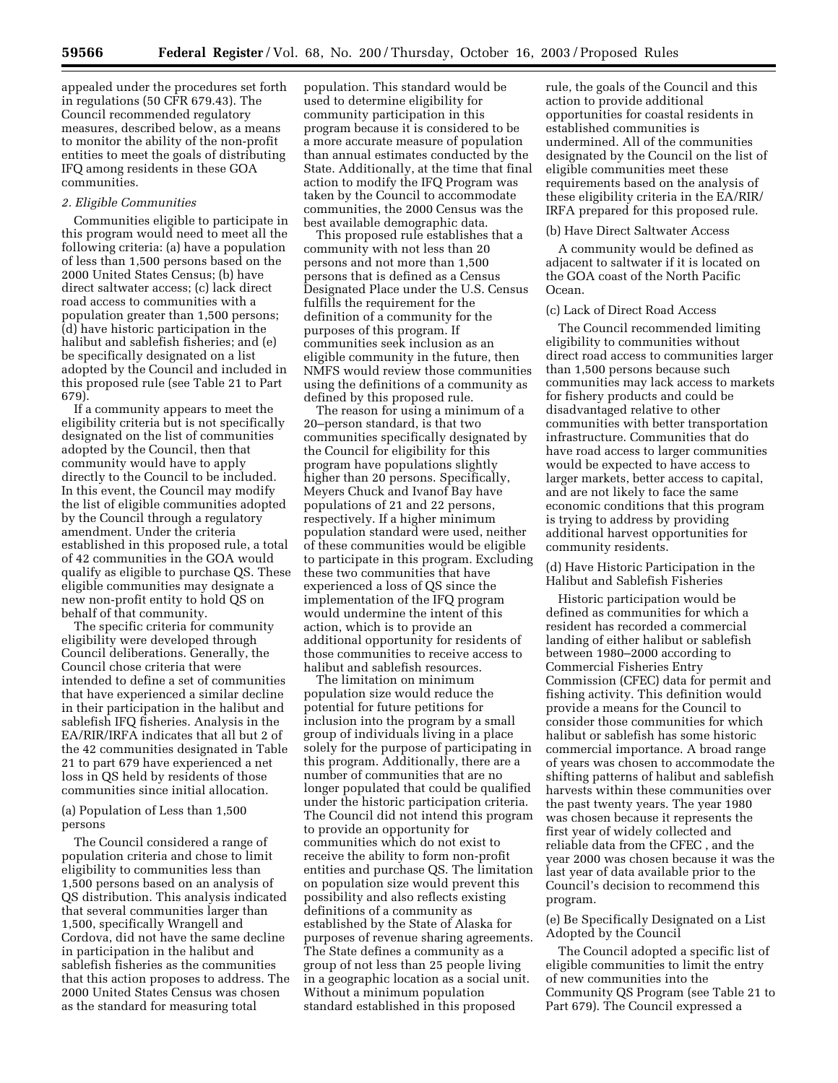appealed under the procedures set forth in regulations (50 CFR 679.43). The Council recommended regulatory measures, described below, as a means to monitor the ability of the non-profit entities to meet the goals of distributing IFQ among residents in these GOA communities.

## *2. Eligible Communities*

Communities eligible to participate in this program would need to meet all the following criteria: (a) have a population of less than 1,500 persons based on the 2000 United States Census; (b) have direct saltwater access; (c) lack direct road access to communities with a population greater than 1,500 persons; (d) have historic participation in the halibut and sablefish fisheries; and (e) be specifically designated on a list adopted by the Council and included in this proposed rule (see Table 21 to Part 679).

If a community appears to meet the eligibility criteria but is not specifically designated on the list of communities adopted by the Council, then that community would have to apply directly to the Council to be included. In this event, the Council may modify the list of eligible communities adopted by the Council through a regulatory amendment. Under the criteria established in this proposed rule, a total of 42 communities in the GOA would qualify as eligible to purchase QS. These eligible communities may designate a new non-profit entity to hold QS on behalf of that community.

The specific criteria for community eligibility were developed through Council deliberations. Generally, the Council chose criteria that were intended to define a set of communities that have experienced a similar decline in their participation in the halibut and sablefish IFQ fisheries. Analysis in the EA/RIR/IRFA indicates that all but 2 of the 42 communities designated in Table 21 to part 679 have experienced a net loss in QS held by residents of those communities since initial allocation.

(a) Population of Less than 1,500 persons

The Council considered a range of population criteria and chose to limit eligibility to communities less than 1,500 persons based on an analysis of QS distribution. This analysis indicated that several communities larger than 1,500, specifically Wrangell and Cordova, did not have the same decline in participation in the halibut and sablefish fisheries as the communities that this action proposes to address. The 2000 United States Census was chosen as the standard for measuring total

population. This standard would be used to determine eligibility for community participation in this program because it is considered to be a more accurate measure of population than annual estimates conducted by the State. Additionally, at the time that final action to modify the IFQ Program was taken by the Council to accommodate communities, the 2000 Census was the best available demographic data.

This proposed rule establishes that a community with not less than 20 persons and not more than 1,500 persons that is defined as a Census Designated Place under the U.S. Census fulfills the requirement for the definition of a community for the purposes of this program. If communities seek inclusion as an eligible community in the future, then NMFS would review those communities using the definitions of a community as defined by this proposed rule.

The reason for using a minimum of a 20–person standard, is that two communities specifically designated by the Council for eligibility for this program have populations slightly higher than 20 persons. Specifically, Meyers Chuck and Ivanof Bay have populations of 21 and 22 persons, respectively. If a higher minimum population standard were used, neither of these communities would be eligible to participate in this program. Excluding these two communities that have experienced a loss of QS since the implementation of the IFQ program would undermine the intent of this action, which is to provide an additional opportunity for residents of those communities to receive access to halibut and sablefish resources.

The limitation on minimum population size would reduce the potential for future petitions for inclusion into the program by a small group of individuals living in a place solely for the purpose of participating in this program. Additionally, there are a number of communities that are no longer populated that could be qualified under the historic participation criteria. The Council did not intend this program to provide an opportunity for communities which do not exist to receive the ability to form non-profit entities and purchase QS. The limitation on population size would prevent this possibility and also reflects existing definitions of a community as established by the State of Alaska for purposes of revenue sharing agreements. The State defines a community as a group of not less than 25 people living in a geographic location as a social unit. Without a minimum population standard established in this proposed

rule, the goals of the Council and this action to provide additional opportunities for coastal residents in established communities is undermined. All of the communities designated by the Council on the list of eligible communities meet these requirements based on the analysis of these eligibility criteria in the EA/RIR/ IRFA prepared for this proposed rule.

### (b) Have Direct Saltwater Access

A community would be defined as adjacent to saltwater if it is located on the GOA coast of the North Pacific Ocean.

## (c) Lack of Direct Road Access

The Council recommended limiting eligibility to communities without direct road access to communities larger than 1,500 persons because such communities may lack access to markets for fishery products and could be disadvantaged relative to other communities with better transportation infrastructure. Communities that do have road access to larger communities would be expected to have access to larger markets, better access to capital, and are not likely to face the same economic conditions that this program is trying to address by providing additional harvest opportunities for community residents.

(d) Have Historic Participation in the Halibut and Sablefish Fisheries

Historic participation would be defined as communities for which a resident has recorded a commercial landing of either halibut or sablefish between 1980–2000 according to Commercial Fisheries Entry Commission (CFEC) data for permit and fishing activity. This definition would provide a means for the Council to consider those communities for which halibut or sablefish has some historic commercial importance. A broad range of years was chosen to accommodate the shifting patterns of halibut and sablefish harvests within these communities over the past twenty years. The year 1980 was chosen because it represents the first year of widely collected and reliable data from the CFEC , and the year 2000 was chosen because it was the last year of data available prior to the Council's decision to recommend this program.

(e) Be Specifically Designated on a List Adopted by the Council

The Council adopted a specific list of eligible communities to limit the entry of new communities into the Community QS Program (see Table 21 to Part 679). The Council expressed a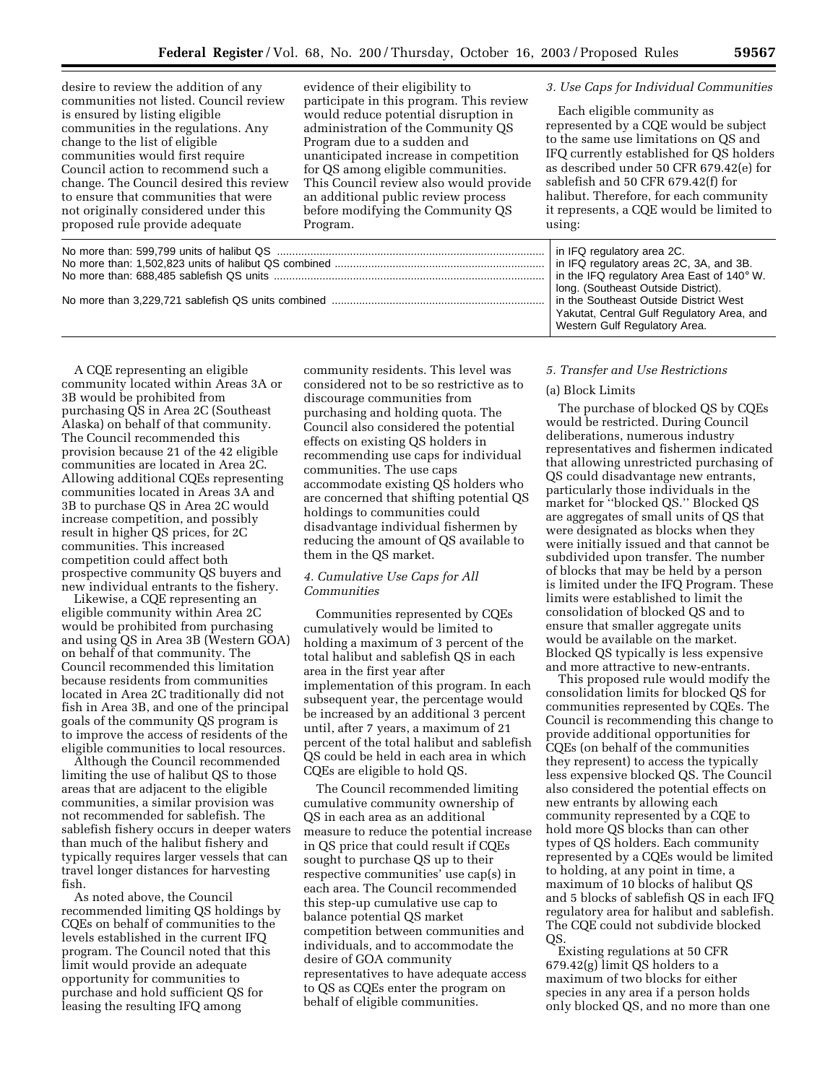desire to review the addition of any communities not listed. Council review is ensured by listing eligible communities in the regulations. Any change to the list of eligible communities would first require Council action to recommend such a change. The Council desired this review to ensure that communities that were not originally considered under this proposed rule provide adequate

evidence of their eligibility to participate in this program. This review would reduce potential disruption in administration of the Community QS Program due to a sudden and unanticipated increase in competition for QS among eligible communities. This Council review also would provide an additional public review process before modifying the Community QS Program.

# *3. Use Caps for Individual Communities*

Each eligible community as represented by a CQE would be subject to the same use limitations on QS and IFQ currently established for QS holders as described under 50 CFR 679.42(e) for sablefish and 50 CFR 679.42(f) for halibut. Therefore, for each community it represents, a CQE would be limited to using:

|  | in IFQ regulatory area 2C.<br>in IFQ regulatory areas 2C, 3A, and 3B.<br>in the IFQ regulatory Area East of 140 $^{\circ}$ W.<br>long. (Southeast Outside District).<br>in the Southeast Outside District West<br>Yakutat, Central Gulf Regulatory Area, and<br>Western Gulf Regulatory Area. |
|--|-----------------------------------------------------------------------------------------------------------------------------------------------------------------------------------------------------------------------------------------------------------------------------------------------|
|  |                                                                                                                                                                                                                                                                                               |

A CQE representing an eligible community located within Areas 3A or 3B would be prohibited from purchasing QS in Area 2C (Southeast Alaska) on behalf of that community. The Council recommended this provision because 21 of the 42 eligible communities are located in Area 2C. Allowing additional CQEs representing communities located in Areas 3A and 3B to purchase QS in Area 2C would increase competition, and possibly result in higher QS prices, for 2C communities. This increased competition could affect both prospective community QS buyers and new individual entrants to the fishery.

Likewise, a CQE representing an eligible community within Area 2C would be prohibited from purchasing and using QS in Area 3B (Western GOA) on behalf of that community. The Council recommended this limitation because residents from communities located in Area 2C traditionally did not fish in Area 3B, and one of the principal goals of the community QS program is to improve the access of residents of the eligible communities to local resources.

Although the Council recommended limiting the use of halibut QS to those areas that are adjacent to the eligible communities, a similar provision was not recommended for sablefish. The sablefish fishery occurs in deeper waters than much of the halibut fishery and typically requires larger vessels that can travel longer distances for harvesting fish.

As noted above, the Council recommended limiting QS holdings by CQEs on behalf of communities to the levels established in the current IFQ program. The Council noted that this limit would provide an adequate opportunity for communities to purchase and hold sufficient QS for leasing the resulting IFQ among

community residents. This level was considered not to be so restrictive as to discourage communities from purchasing and holding quota. The Council also considered the potential effects on existing QS holders in recommending use caps for individual communities. The use caps accommodate existing QS holders who are concerned that shifting potential QS holdings to communities could disadvantage individual fishermen by reducing the amount of QS available to them in the QS market.

# *4. Cumulative Use Caps for All Communities*

Communities represented by CQEs cumulatively would be limited to holding a maximum of 3 percent of the total halibut and sablefish QS in each area in the first year after implementation of this program. In each subsequent year, the percentage would be increased by an additional 3 percent until, after 7 years, a maximum of 21 percent of the total halibut and sablefish QS could be held in each area in which CQEs are eligible to hold QS.

The Council recommended limiting cumulative community ownership of QS in each area as an additional measure to reduce the potential increase in QS price that could result if CQEs sought to purchase QS up to their respective communities' use cap(s) in each area. The Council recommended this step-up cumulative use cap to balance potential QS market competition between communities and individuals, and to accommodate the desire of GOA community representatives to have adequate access to QS as CQEs enter the program on behalf of eligible communities.

### *5. Transfer and Use Restrictions*

## (a) Block Limits

The purchase of blocked QS by CQEs would be restricted. During Council deliberations, numerous industry representatives and fishermen indicated that allowing unrestricted purchasing of QS could disadvantage new entrants, particularly those individuals in the market for ''blocked QS.'' Blocked QS are aggregates of small units of QS that were designated as blocks when they were initially issued and that cannot be subdivided upon transfer. The number of blocks that may be held by a person is limited under the IFQ Program. These limits were established to limit the consolidation of blocked QS and to ensure that smaller aggregate units would be available on the market. Blocked QS typically is less expensive and more attractive to new-entrants.

This proposed rule would modify the consolidation limits for blocked QS for communities represented by CQEs. The Council is recommending this change to provide additional opportunities for CQEs (on behalf of the communities they represent) to access the typically less expensive blocked QS. The Council also considered the potential effects on new entrants by allowing each community represented by a CQE to hold more QS blocks than can other types of QS holders. Each community represented by a CQEs would be limited to holding, at any point in time, a maximum of 10 blocks of halibut QS and 5 blocks of sablefish QS in each IFQ regulatory area for halibut and sablefish. The CQE could not subdivide blocked QS.

Existing regulations at 50 CFR 679.42(g) limit QS holders to a maximum of two blocks for either species in any area if a person holds only blocked QS, and no more than one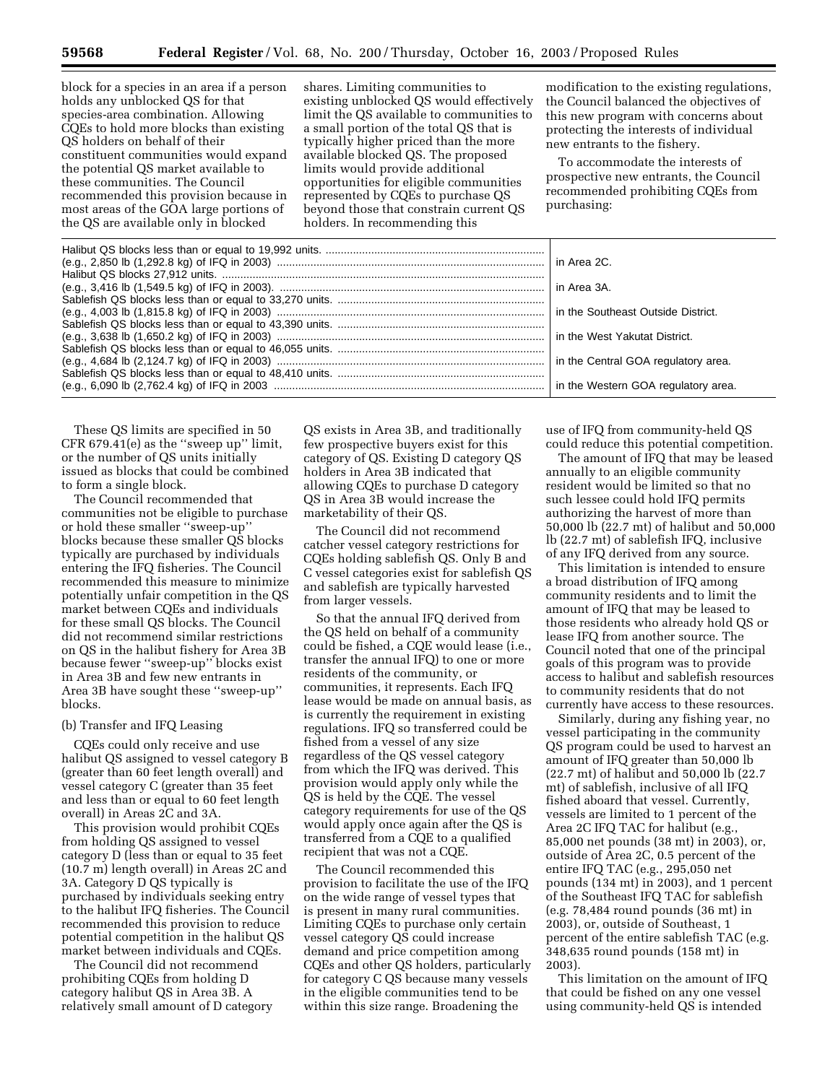block for a species in an area if a person holds any unblocked QS for that species-area combination. Allowing CQEs to hold more blocks than existing QS holders on behalf of their constituent communities would expand the potential QS market available to these communities. The Council recommended this provision because in most areas of the GOA large portions of the QS are available only in blocked

shares. Limiting communities to existing unblocked QS would effectively limit the QS available to communities to a small portion of the total QS that is typically higher priced than the more available blocked QS. The proposed limits would provide additional opportunities for eligible communities represented by CQEs to purchase QS beyond those that constrain current QS holders. In recommending this

modification to the existing regulations, the Council balanced the objectives of this new program with concerns about protecting the interests of individual new entrants to the fishery.

To accommodate the interests of prospective new entrants, the Council recommended prohibiting CQEs from purchasing:

These QS limits are specified in 50 CFR 679.41(e) as the ''sweep up'' limit, or the number of QS units initially issued as blocks that could be combined to form a single block.

The Council recommended that communities not be eligible to purchase or hold these smaller ''sweep-up'' blocks because these smaller QS blocks typically are purchased by individuals entering the IFQ fisheries. The Council recommended this measure to minimize potentially unfair competition in the QS market between CQEs and individuals for these small QS blocks. The Council did not recommend similar restrictions on QS in the halibut fishery for Area 3B because fewer ''sweep-up'' blocks exist in Area 3B and few new entrants in Area 3B have sought these ''sweep-up'' blocks.

### (b) Transfer and IFQ Leasing

CQEs could only receive and use halibut QS assigned to vessel category B (greater than 60 feet length overall) and vessel category C (greater than 35 feet and less than or equal to 60 feet length overall) in Areas 2C and 3A.

This provision would prohibit CQEs from holding QS assigned to vessel category D (less than or equal to 35 feet (10.7 m) length overall) in Areas 2C and 3A. Category D QS typically is purchased by individuals seeking entry to the halibut IFQ fisheries. The Council recommended this provision to reduce potential competition in the halibut QS market between individuals and CQEs.

The Council did not recommend prohibiting CQEs from holding D category halibut QS in Area 3B. A relatively small amount of D category

QS exists in Area 3B, and traditionally few prospective buyers exist for this category of QS. Existing D category QS holders in Area 3B indicated that allowing CQEs to purchase D category QS in Area 3B would increase the marketability of their QS.

The Council did not recommend catcher vessel category restrictions for CQEs holding sablefish QS. Only B and C vessel categories exist for sablefish QS and sablefish are typically harvested from larger vessels.

So that the annual IFQ derived from the QS held on behalf of a community could be fished, a CQE would lease (i.e., transfer the annual IFQ) to one or more residents of the community, or communities, it represents. Each IFQ lease would be made on annual basis, as is currently the requirement in existing regulations. IFQ so transferred could be fished from a vessel of any size regardless of the QS vessel category from which the IFQ was derived. This provision would apply only while the QS is held by the CQE. The vessel category requirements for use of the QS would apply once again after the QS is transferred from a CQE to a qualified recipient that was not a CQE.

The Council recommended this provision to facilitate the use of the IFQ on the wide range of vessel types that is present in many rural communities. Limiting CQEs to purchase only certain vessel category QS could increase demand and price competition among CQEs and other QS holders, particularly for category C QS because many vessels in the eligible communities tend to be within this size range. Broadening the

use of IFQ from community-held QS could reduce this potential competition.

The amount of IFQ that may be leased annually to an eligible community resident would be limited so that no such lessee could hold IFQ permits authorizing the harvest of more than 50,000 lb (22.7 mt) of halibut and 50,000 lb (22.7 mt) of sablefish IFQ, inclusive of any IFQ derived from any source.

This limitation is intended to ensure a broad distribution of IFQ among community residents and to limit the amount of IFQ that may be leased to those residents who already hold QS or lease IFQ from another source. The Council noted that one of the principal goals of this program was to provide access to halibut and sablefish resources to community residents that do not currently have access to these resources.

Similarly, during any fishing year, no vessel participating in the community QS program could be used to harvest an amount of IFQ greater than 50,000 lb (22.7 mt) of halibut and 50,000 lb (22.7 mt) of sablefish, inclusive of all IFQ fished aboard that vessel. Currently, vessels are limited to 1 percent of the Area 2C IFQ TAC for halibut (e.g., 85,000 net pounds (38 mt) in 2003), or, outside of Area 2C, 0.5 percent of the entire IFQ TAC (e.g., 295,050 net pounds (134 mt) in 2003), and 1 percent of the Southeast IFQ TAC for sablefish (e.g. 78,484 round pounds (36 mt) in 2003), or, outside of Southeast, 1 percent of the entire sablefish TAC (e.g. 348,635 round pounds (158 mt) in 2003).

This limitation on the amount of IFQ that could be fished on any one vessel using community-held QS is intended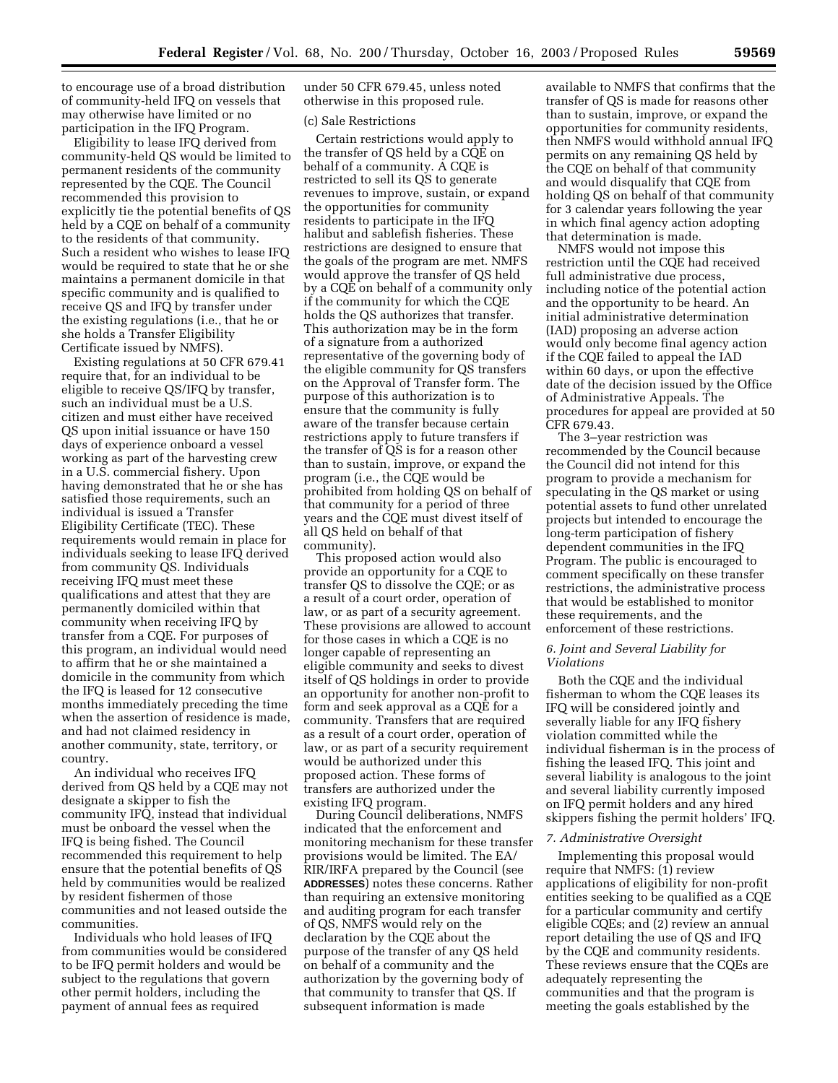to encourage use of a broad distribution of community-held IFQ on vessels that may otherwise have limited or no participation in the IFQ Program.

Eligibility to lease IFQ derived from community-held QS would be limited to permanent residents of the community represented by the CQE. The Council recommended this provision to explicitly tie the potential benefits of QS held by a CQE on behalf of a community to the residents of that community. Such a resident who wishes to lease IFQ would be required to state that he or she maintains a permanent domicile in that specific community and is qualified to receive QS and IFQ by transfer under the existing regulations (i.e., that he or she holds a Transfer Eligibility Certificate issued by NMFS).

Existing regulations at 50 CFR 679.41 require that, for an individual to be eligible to receive QS/IFQ by transfer, such an individual must be a U.S. citizen and must either have received QS upon initial issuance or have 150 days of experience onboard a vessel working as part of the harvesting crew in a U.S. commercial fishery. Upon having demonstrated that he or she has satisfied those requirements, such an individual is issued a Transfer Eligibility Certificate (TEC). These requirements would remain in place for individuals seeking to lease IFQ derived from community QS. Individuals receiving IFQ must meet these qualifications and attest that they are permanently domiciled within that community when receiving IFQ by transfer from a CQE. For purposes of this program, an individual would need to affirm that he or she maintained a domicile in the community from which the IFQ is leased for 12 consecutive months immediately preceding the time when the assertion of residence is made, and had not claimed residency in another community, state, territory, or country.

An individual who receives IFQ derived from QS held by a CQE may not designate a skipper to fish the community IFQ, instead that individual must be onboard the vessel when the IFQ is being fished. The Council recommended this requirement to help ensure that the potential benefits of QS held by communities would be realized by resident fishermen of those communities and not leased outside the communities.

Individuals who hold leases of IFQ from communities would be considered to be IFQ permit holders and would be subject to the regulations that govern other permit holders, including the payment of annual fees as required

under 50 CFR 679.45, unless noted otherwise in this proposed rule.

#### (c) Sale Restrictions

Certain restrictions would apply to the transfer of QS held by a CQE on behalf of a community. A CQE is restricted to sell its QS to generate revenues to improve, sustain, or expand the opportunities for community residents to participate in the IFQ halibut and sablefish fisheries. These restrictions are designed to ensure that the goals of the program are met. NMFS would approve the transfer of QS held by a CQE on behalf of a community only if the community for which the CQE holds the QS authorizes that transfer. This authorization may be in the form of a signature from a authorized representative of the governing body of the eligible community for QS transfers on the Approval of Transfer form. The purpose of this authorization is to ensure that the community is fully aware of the transfer because certain restrictions apply to future transfers if the transfer of QS is for a reason other than to sustain, improve, or expand the program (i.e., the CQE would be prohibited from holding QS on behalf of that community for a period of three years and the CQE must divest itself of all QS held on behalf of that community).

This proposed action would also provide an opportunity for a CQE to transfer QS to dissolve the CQE; or as a result of a court order, operation of law, or as part of a security agreement. These provisions are allowed to account for those cases in which a CQE is no longer capable of representing an eligible community and seeks to divest itself of QS holdings in order to provide an opportunity for another non-profit to form and seek approval as a CQE for a community. Transfers that are required as a result of a court order, operation of law, or as part of a security requirement would be authorized under this proposed action. These forms of transfers are authorized under the existing IFQ program.

During Council deliberations, NMFS indicated that the enforcement and monitoring mechanism for these transfer provisions would be limited. The EA/ RIR/IRFA prepared by the Council (see **ADDRESSES**) notes these concerns. Rather than requiring an extensive monitoring and auditing program for each transfer of QS, NMFS would rely on the declaration by the CQE about the purpose of the transfer of any QS held on behalf of a community and the authorization by the governing body of that community to transfer that QS. If subsequent information is made

available to NMFS that confirms that the transfer of QS is made for reasons other than to sustain, improve, or expand the opportunities for community residents, then NMFS would withhold annual IFQ permits on any remaining QS held by the CQE on behalf of that community and would disqualify that CQE from holding QS on behalf of that community for 3 calendar years following the year in which final agency action adopting that determination is made.

NMFS would not impose this restriction until the CQE had received full administrative due process, including notice of the potential action and the opportunity to be heard. An initial administrative determination (IAD) proposing an adverse action would only become final agency action if the CQE failed to appeal the IAD within 60 days, or upon the effective date of the decision issued by the Office of Administrative Appeals. The procedures for appeal are provided at 50 CFR 679.43.

The 3–year restriction was recommended by the Council because the Council did not intend for this program to provide a mechanism for speculating in the QS market or using potential assets to fund other unrelated projects but intended to encourage the long-term participation of fishery dependent communities in the IFQ Program. The public is encouraged to comment specifically on these transfer restrictions, the administrative process that would be established to monitor these requirements, and the enforcement of these restrictions.

## *6. Joint and Several Liability for Violations*

Both the CQE and the individual fisherman to whom the CQE leases its IFQ will be considered jointly and severally liable for any IFQ fishery violation committed while the individual fisherman is in the process of fishing the leased IFQ. This joint and several liability is analogous to the joint and several liability currently imposed on IFQ permit holders and any hired skippers fishing the permit holders' IFQ.

#### *7. Administrative Oversight*

Implementing this proposal would require that NMFS: (1) review applications of eligibility for non-profit entities seeking to be qualified as a CQE for a particular community and certify eligible CQEs; and (2) review an annual report detailing the use of QS and IFQ by the CQE and community residents. These reviews ensure that the CQEs are adequately representing the communities and that the program is meeting the goals established by the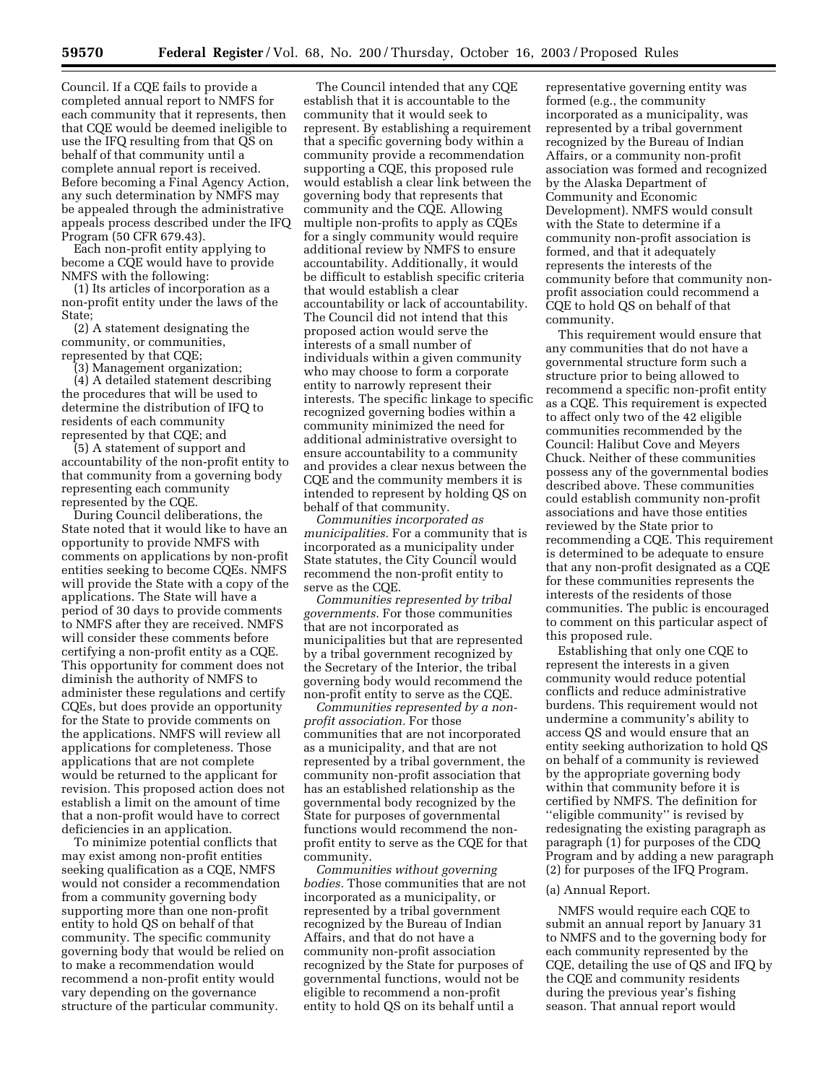Council. If a CQE fails to provide a completed annual report to NMFS for each community that it represents, then that CQE would be deemed ineligible to use the IFQ resulting from that QS on behalf of that community until a complete annual report is received. Before becoming a Final Agency Action, any such determination by NMFS may be appealed through the administrative appeals process described under the IFQ Program (50 CFR 679.43).

Each non-profit entity applying to become a CQE would have to provide NMFS with the following:

(1) Its articles of incorporation as a non-profit entity under the laws of the State;

(2) A statement designating the community, or communities, represented by that CQE;

(3) Management organization;

(4) A detailed statement describing the procedures that will be used to determine the distribution of IFQ to residents of each community represented by that CQE; and

(5) A statement of support and accountability of the non-profit entity to that community from a governing body representing each community represented by the CQE.

During Council deliberations, the State noted that it would like to have an opportunity to provide NMFS with comments on applications by non-profit entities seeking to become CQEs. NMFS will provide the State with a copy of the applications. The State will have a period of 30 days to provide comments to NMFS after they are received. NMFS will consider these comments before certifying a non-profit entity as a CQE. This opportunity for comment does not diminish the authority of NMFS to administer these regulations and certify CQEs, but does provide an opportunity for the State to provide comments on the applications. NMFS will review all applications for completeness. Those applications that are not complete would be returned to the applicant for revision. This proposed action does not establish a limit on the amount of time that a non-profit would have to correct deficiencies in an application.

To minimize potential conflicts that may exist among non-profit entities seeking qualification as a CQE, NMFS would not consider a recommendation from a community governing body supporting more than one non-profit entity to hold QS on behalf of that community. The specific community governing body that would be relied on to make a recommendation would recommend a non-profit entity would vary depending on the governance structure of the particular community.

The Council intended that any CQE establish that it is accountable to the community that it would seek to represent. By establishing a requirement that a specific governing body within a community provide a recommendation supporting a CQE, this proposed rule would establish a clear link between the governing body that represents that community and the CQE. Allowing multiple non-profits to apply as CQEs for a singly community would require additional review by NMFS to ensure accountability. Additionally, it would be difficult to establish specific criteria that would establish a clear accountability or lack of accountability. The Council did not intend that this proposed action would serve the interests of a small number of individuals within a given community who may choose to form a corporate entity to narrowly represent their interests. The specific linkage to specific recognized governing bodies within a community minimized the need for additional administrative oversight to ensure accountability to a community and provides a clear nexus between the CQE and the community members it is intended to represent by holding QS on behalf of that community.

*Communities incorporated as municipalities.* For a community that is incorporated as a municipality under State statutes, the City Council would recommend the non-profit entity to serve as the CQE.

*Communities represented by tribal governments.* For those communities that are not incorporated as municipalities but that are represented by a tribal government recognized by the Secretary of the Interior, the tribal governing body would recommend the non-profit entity to serve as the CQE.

*Communities represented by a nonprofit association.* For those communities that are not incorporated as a municipality, and that are not represented by a tribal government, the community non-profit association that has an established relationship as the governmental body recognized by the State for purposes of governmental functions would recommend the nonprofit entity to serve as the CQE for that community.

*Communities without governing bodies.* Those communities that are not incorporated as a municipality, or represented by a tribal government recognized by the Bureau of Indian Affairs, and that do not have a community non-profit association recognized by the State for purposes of governmental functions, would not be eligible to recommend a non-profit entity to hold QS on its behalf until a

representative governing entity was formed (e.g., the community incorporated as a municipality, was represented by a tribal government recognized by the Bureau of Indian Affairs, or a community non-profit association was formed and recognized by the Alaska Department of Community and Economic Development). NMFS would consult with the State to determine if a community non-profit association is formed, and that it adequately represents the interests of the community before that community nonprofit association could recommend a CQE to hold QS on behalf of that community.

This requirement would ensure that any communities that do not have a governmental structure form such a structure prior to being allowed to recommend a specific non-profit entity as a CQE. This requirement is expected to affect only two of the 42 eligible communities recommended by the Council: Halibut Cove and Meyers Chuck. Neither of these communities possess any of the governmental bodies described above. These communities could establish community non-profit associations and have those entities reviewed by the State prior to recommending a CQE. This requirement is determined to be adequate to ensure that any non-profit designated as a CQE for these communities represents the interests of the residents of those communities. The public is encouraged to comment on this particular aspect of this proposed rule.

Establishing that only one CQE to represent the interests in a given community would reduce potential conflicts and reduce administrative burdens. This requirement would not undermine a community's ability to access QS and would ensure that an entity seeking authorization to hold QS on behalf of a community is reviewed by the appropriate governing body within that community before it is certified by NMFS. The definition for ''eligible community'' is revised by redesignating the existing paragraph as paragraph (1) for purposes of the CDQ Program and by adding a new paragraph (2) for purposes of the IFQ Program.

#### (a) Annual Report.

NMFS would require each CQE to submit an annual report by January 31 to NMFS and to the governing body for each community represented by the CQE, detailing the use of QS and IFQ by the CQE and community residents during the previous year's fishing season. That annual report would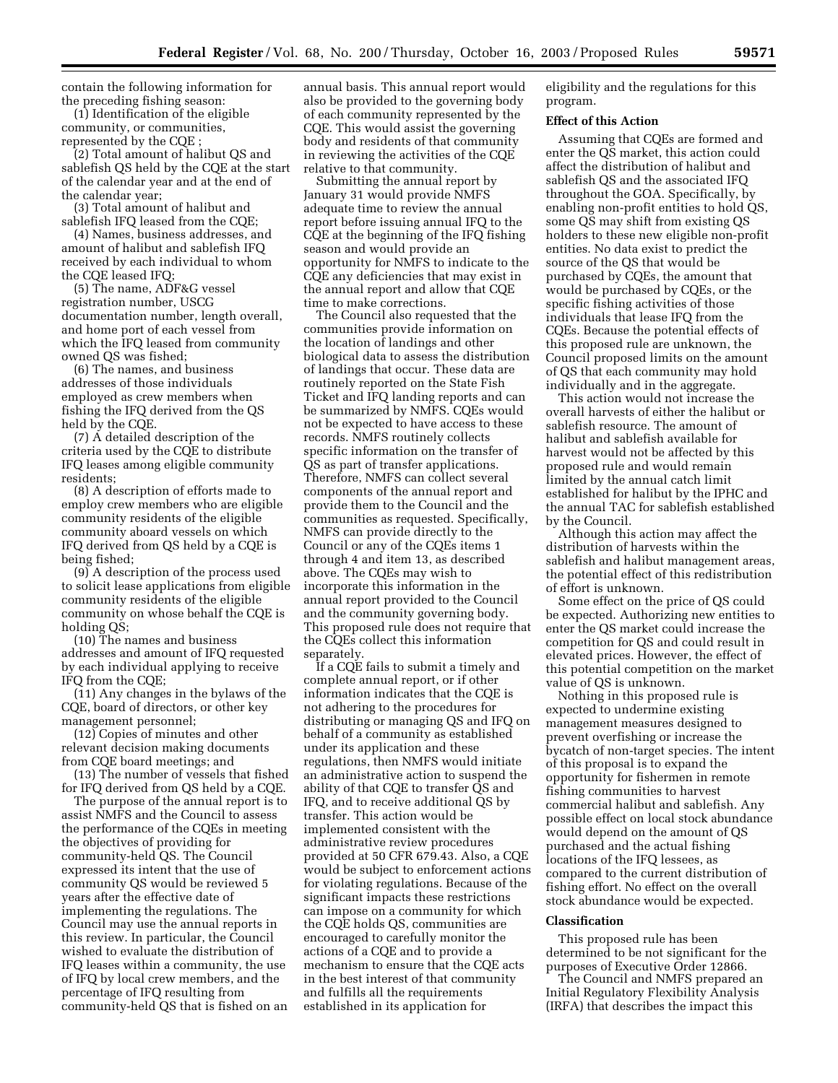contain the following information for the preceding fishing season:

(1) Identification of the eligible community, or communities, represented by the CQE ;

(2) Total amount of halibut QS and sablefish QS held by the CQE at the start of the calendar year and at the end of the calendar year;

(3) Total amount of halibut and sablefish IFQ leased from the CQE;

(4) Names, business addresses, and amount of halibut and sablefish IFQ received by each individual to whom the CQE leased IFQ;

(5) The name, ADF&G vessel registration number, USCG documentation number, length overall, and home port of each vessel from which the IFQ leased from community owned QS was fished;

(6) The names, and business addresses of those individuals employed as crew members when fishing the IFQ derived from the QS held by the CQE.

(7) A detailed description of the criteria used by the CQE to distribute IFQ leases among eligible community residents;

(8) A description of efforts made to employ crew members who are eligible community residents of the eligible community aboard vessels on which IFQ derived from QS held by a CQE is being fished;

(9) A description of the process used to solicit lease applications from eligible community residents of the eligible community on whose behalf the CQE is holding QS;

(10) The names and business addresses and amount of IFQ requested by each individual applying to receive IFQ from the CQE;

(11) Any changes in the bylaws of the CQE, board of directors, or other key management personnel;

(12) Copies of minutes and other relevant decision making documents from CQE board meetings; and

(13) The number of vessels that fished for IFQ derived from QS held by a CQE.

The purpose of the annual report is to assist NMFS and the Council to assess the performance of the CQEs in meeting the objectives of providing for community-held QS. The Council expressed its intent that the use of community QS would be reviewed 5 years after the effective date of implementing the regulations. The Council may use the annual reports in this review. In particular, the Council wished to evaluate the distribution of IFQ leases within a community, the use of IFQ by local crew members, and the percentage of IFQ resulting from community-held QS that is fished on an

annual basis. This annual report would also be provided to the governing body of each community represented by the CQE. This would assist the governing body and residents of that community in reviewing the activities of the CQE relative to that community.

Submitting the annual report by January 31 would provide NMFS adequate time to review the annual report before issuing annual IFQ to the CQE at the beginning of the IFQ fishing season and would provide an opportunity for NMFS to indicate to the CQE any deficiencies that may exist in the annual report and allow that CQE time to make corrections.

The Council also requested that the communities provide information on the location of landings and other biological data to assess the distribution of landings that occur. These data are routinely reported on the State Fish Ticket and IFQ landing reports and can be summarized by NMFS. CQEs would not be expected to have access to these records. NMFS routinely collects specific information on the transfer of QS as part of transfer applications. Therefore, NMFS can collect several components of the annual report and provide them to the Council and the communities as requested. Specifically, NMFS can provide directly to the Council or any of the CQEs items 1 through 4 and item 13, as described above. The CQEs may wish to incorporate this information in the annual report provided to the Council and the community governing body. This proposed rule does not require that the CQEs collect this information separately.

If a CQE fails to submit a timely and complete annual report, or if other information indicates that the CQE is not adhering to the procedures for distributing or managing QS and IFQ on behalf of a community as established under its application and these regulations, then NMFS would initiate an administrative action to suspend the ability of that CQE to transfer QS and IFQ, and to receive additional QS by transfer. This action would be implemented consistent with the administrative review procedures provided at 50 CFR 679.43. Also, a CQE would be subject to enforcement actions for violating regulations. Because of the significant impacts these restrictions can impose on a community for which the CQE holds QS, communities are encouraged to carefully monitor the actions of a CQE and to provide a mechanism to ensure that the CQE acts in the best interest of that community and fulfills all the requirements established in its application for

eligibility and the regulations for this program.

#### **Effect of this Action**

Assuming that CQEs are formed and enter the QS market, this action could affect the distribution of halibut and sablefish QS and the associated IFQ throughout the GOA. Specifically, by enabling non-profit entities to hold QS, some QS may shift from existing QS holders to these new eligible non-profit entities. No data exist to predict the source of the QS that would be purchased by CQEs, the amount that would be purchased by CQEs, or the specific fishing activities of those individuals that lease IFQ from the CQEs. Because the potential effects of this proposed rule are unknown, the Council proposed limits on the amount of QS that each community may hold individually and in the aggregate.

This action would not increase the overall harvests of either the halibut or sablefish resource. The amount of halibut and sablefish available for harvest would not be affected by this proposed rule and would remain limited by the annual catch limit established for halibut by the IPHC and the annual TAC for sablefish established by the Council.

Although this action may affect the distribution of harvests within the sablefish and halibut management areas, the potential effect of this redistribution of effort is unknown.

Some effect on the price of QS could be expected. Authorizing new entities to enter the QS market could increase the competition for QS and could result in elevated prices. However, the effect of this potential competition on the market value of QS is unknown.

Nothing in this proposed rule is expected to undermine existing management measures designed to prevent overfishing or increase the bycatch of non-target species. The intent of this proposal is to expand the opportunity for fishermen in remote fishing communities to harvest commercial halibut and sablefish. Any possible effect on local stock abundance would depend on the amount of QS purchased and the actual fishing locations of the IFQ lessees, as compared to the current distribution of fishing effort. No effect on the overall stock abundance would be expected.

#### **Classification**

This proposed rule has been determined to be not significant for the purposes of Executive Order 12866.

The Council and NMFS prepared an Initial Regulatory Flexibility Analysis (IRFA) that describes the impact this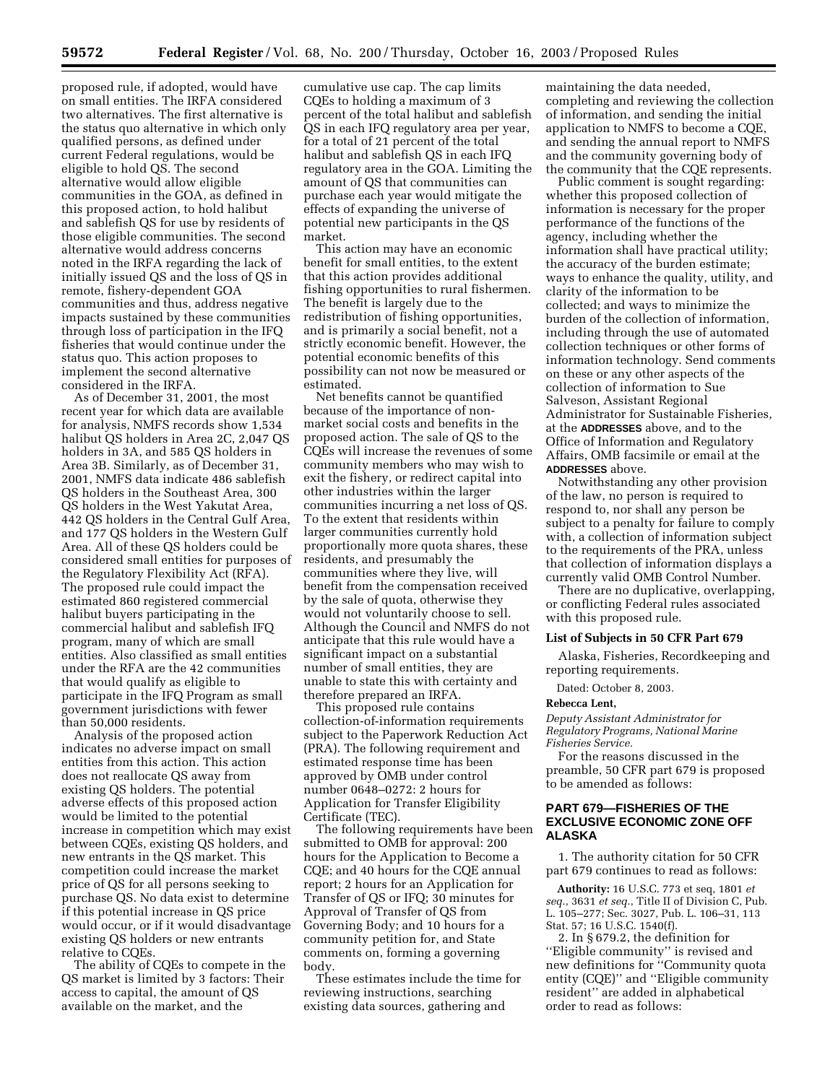proposed rule, if adopted, would have on small entities. The IRFA considered two alternatives. The first alternative is the status quo alternative in which only qualified persons, as defined under current Federal regulations, would be eligible to hold QS. The second alternative would allow eligible communities in the GOA, as defined in this proposed action, to hold halibut and sablefish QS for use by residents of those eligible communities. The second alternative would address concerns noted in the IRFA regarding the lack of initially issued QS and the loss of QS in remote, fishery-dependent GOA communities and thus, address negative impacts sustained by these communities through loss of participation in the IFQ fisheries that would continue under the status quo. This action proposes to implement the second alternative considered in the IRFA.

As of December 31, 2001, the most recent year for which data are available for analysis, NMFS records show 1,534 halibut QS holders in Area 2C, 2,047 QS holders in 3A, and 585 QS holders in Area 3B. Similarly, as of December 31, 2001, NMFS data indicate 486 sablefish QS holders in the Southeast Area, 300 QS holders in the West Yakutat Area, 442 QS holders in the Central Gulf Area, and 177 QS holders in the Western Gulf Area. All of these QS holders could be considered small entities for purposes of the Regulatory Flexibility Act (RFA). The proposed rule could impact the estimated 860 registered commercial halibut buyers participating in the commercial halibut and sablefish IFQ program, many of which are small entities. Also classified as small entities under the RFA are the 42 communities that would qualify as eligible to participate in the IFQ Program as small government jurisdictions with fewer than 50,000 residents.

Analysis of the proposed action indicates no adverse impact on small entities from this action. This action does not reallocate QS away from existing QS holders. The potential adverse effects of this proposed action would be limited to the potential increase in competition which may exist between CQEs, existing QS holders, and new entrants in the QS market. This competition could increase the market price of QS for all persons seeking to purchase QS. No data exist to determine if this potential increase in QS price would occur, or if it would disadvantage existing QS holders or new entrants relative to CQEs.

The ability of CQEs to compete in the QS market is limited by 3 factors: Their access to capital, the amount of QS available on the market, and the

cumulative use cap. The cap limits CQEs to holding a maximum of 3 percent of the total halibut and sablefish QS in each IFQ regulatory area per year, for a total of 21 percent of the total halibut and sablefish QS in each IFQ regulatory area in the GOA. Limiting the amount of QS that communities can purchase each year would mitigate the effects of expanding the universe of potential new participants in the QS market.

This action may have an economic benefit for small entities, to the extent that this action provides additional fishing opportunities to rural fishermen. The benefit is largely due to the redistribution of fishing opportunities, and is primarily a social benefit, not a strictly economic benefit. However, the potential economic benefits of this possibility can not now be measured or estimated.

Net benefits cannot be quantified because of the importance of nonmarket social costs and benefits in the proposed action. The sale of QS to the CQEs will increase the revenues of some community members who may wish to exit the fishery, or redirect capital into other industries within the larger communities incurring a net loss of QS. To the extent that residents within larger communities currently hold proportionally more quota shares, these residents, and presumably the communities where they live, will benefit from the compensation received by the sale of quota, otherwise they would not voluntarily choose to sell. Although the Council and NMFS do not anticipate that this rule would have a significant impact on a substantial number of small entities, they are unable to state this with certainty and therefore prepared an IRFA.

This proposed rule contains collection-of-information requirements subject to the Paperwork Reduction Act (PRA). The following requirement and estimated response time has been approved by OMB under control number 0648–0272: 2 hours for Application for Transfer Eligibility Certificate (TEC).

The following requirements have been submitted to OMB for approval: 200 hours for the Application to Become a CQE; and 40 hours for the CQE annual report; 2 hours for an Application for Transfer of QS or IFQ; 30 minutes for Approval of Transfer of QS from Governing Body; and 10 hours for a community petition for, and State comments on, forming a governing body.

These estimates include the time for reviewing instructions, searching existing data sources, gathering and

maintaining the data needed, completing and reviewing the collection of information, and sending the initial application to NMFS to become a CQE, and sending the annual report to NMFS and the community governing body of the community that the CQE represents.

Public comment is sought regarding: whether this proposed collection of information is necessary for the proper performance of the functions of the agency, including whether the information shall have practical utility; the accuracy of the burden estimate; ways to enhance the quality, utility, and clarity of the information to be collected; and ways to minimize the burden of the collection of information, including through the use of automated collection techniques or other forms of information technology. Send comments on these or any other aspects of the collection of information to Sue Salveson, Assistant Regional Administrator for Sustainable Fisheries, at the **ADDRESSES** above, and to the Office of Information and Regulatory Affairs, OMB facsimile or email at the **ADDRESSES** above.

Notwithstanding any other provision of the law, no person is required to respond to, nor shall any person be subject to a penalty for failure to comply with, a collection of information subject to the requirements of the PRA, unless that collection of information displays a currently valid OMB Control Number.

There are no duplicative, overlapping, or conflicting Federal rules associated with this proposed rule.

### **List of Subjects in 50 CFR Part 679**

Alaska, Fisheries, Recordkeeping and reporting requirements.

Dated: October 8, 2003.

#### **Rebecca Lent,**

*Deputy Assistant Administrator for Regulatory Programs, National Marine Fisheries Service.*

For the reasons discussed in the preamble, 50 CFR part 679 is proposed to be amended as follows:

## **PART 679—FISHERIES OF THE EXCLUSIVE ECONOMIC ZONE OFF ALASKA**

1. The authority citation for 50 CFR part 679 continues to read as follows:

**Authority:** 16 U.S.C. 773 et seq, 1801 *et seq.*, 3631 *et seq.*, Title II of Division C, Pub. L. 105–277; Sec. 3027, Pub. L. 106–31, 113 Stat. 57; 16 U.S.C. 1540(f).

2. In § 679.2, the definition for ''Eligible community'' is revised and new definitions for ''Community quota entity (CQE)'' and ''Eligible community resident'' are added in alphabetical order to read as follows: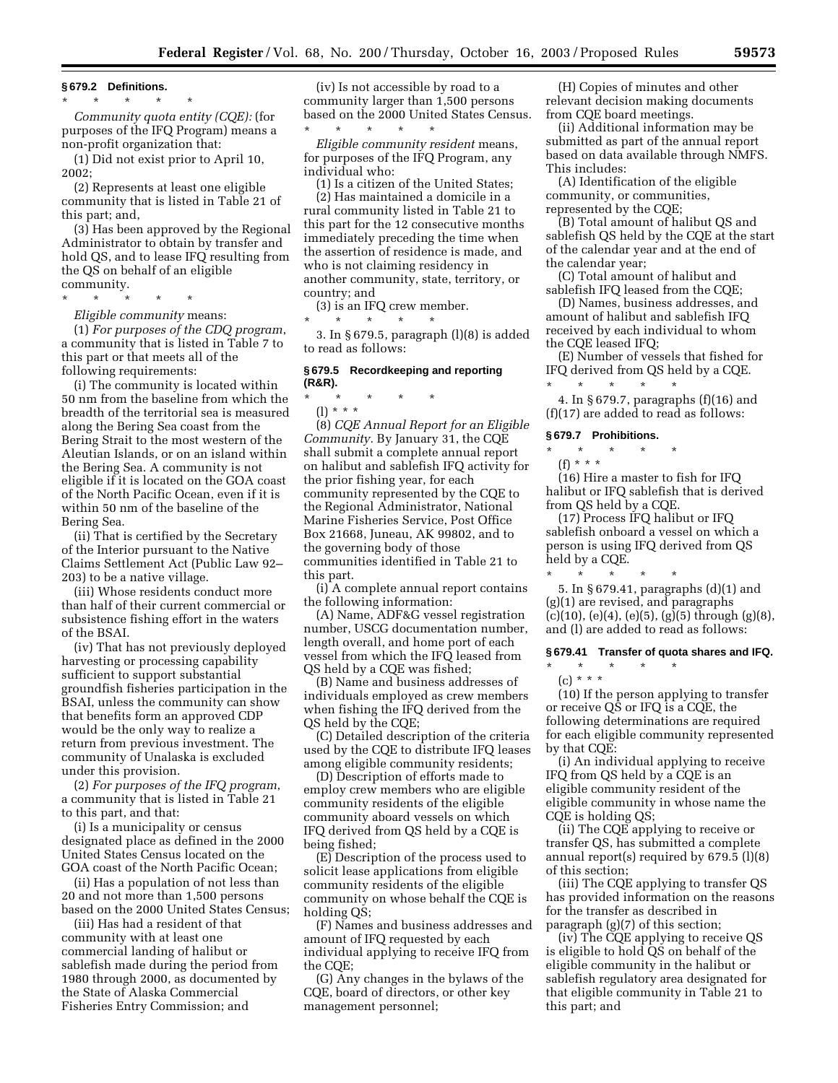**§ 679.2 Definitions.**

\* \* \* \* \*

*Community quota entity (CQE):* (for purposes of the IFQ Program) means a non-profit organization that:

(1) Did not exist prior to April 10, 2002;

(2) Represents at least one eligible community that is listed in Table 21 of this part; and,

(3) Has been approved by the Regional Administrator to obtain by transfer and hold QS, and to lease IFQ resulting from the QS on behalf of an eligible community.

\* \* \* \* \*

*Eligible community* means:

(1) *For purposes of the CDQ program*, a community that is listed in Table 7 to this part or that meets all of the following requirements:

(i) The community is located within 50 nm from the baseline from which the breadth of the territorial sea is measured along the Bering Sea coast from the Bering Strait to the most western of the Aleutian Islands, or on an island within the Bering Sea. A community is not eligible if it is located on the GOA coast of the North Pacific Ocean, even if it is within 50 nm of the baseline of the Bering Sea.

(ii) That is certified by the Secretary of the Interior pursuant to the Native Claims Settlement Act (Public Law 92– 203) to be a native village.

(iii) Whose residents conduct more than half of their current commercial or subsistence fishing effort in the waters of the BSAI.

(iv) That has not previously deployed harvesting or processing capability sufficient to support substantial groundfish fisheries participation in the BSAI, unless the community can show that benefits form an approved CDP would be the only way to realize a return from previous investment. The community of Unalaska is excluded under this provision.

(2) *For purposes of the IFQ program*, a community that is listed in Table 21 to this part, and that:

(i) Is a municipality or census designated place as defined in the 2000 United States Census located on the GOA coast of the North Pacific Ocean;

(ii) Has a population of not less than 20 and not more than 1,500 persons based on the 2000 United States Census;

(iii) Has had a resident of that community with at least one commercial landing of halibut or sablefish made during the period from 1980 through 2000, as documented by the State of Alaska Commercial Fisheries Entry Commission; and

(iv) Is not accessible by road to a community larger than 1,500 persons based on the 2000 United States Census.

\* \* \* \* \* *Eligible community resident* means, for purposes of the IFQ Program, any individual who:

(1) Is a citizen of the United States;

(2) Has maintained a domicile in a rural community listed in Table 21 to this part for the 12 consecutive months immediately preceding the time when the assertion of residence is made, and who is not claiming residency in another community, state, territory, or country; and

(3) is an IFQ crew member.

\* \* \* \* \*

3. In § 679.5, paragraph (l)(8) is added to read as follows:

## **§ 679.5 Recordkeeping and reporting (R&R).**

\* \* \* \* \*

(l) \* \* \* (8) *CQE Annual Report for an Eligible Community.* By January 31, the CQE shall submit a complete annual report on halibut and sablefish IFQ activity for the prior fishing year, for each community represented by the CQE to the Regional Administrator, National Marine Fisheries Service, Post Office Box 21668, Juneau, AK 99802, and to the governing body of those communities identified in Table 21 to this part.

(i) A complete annual report contains the following information:

(A) Name, ADF&G vessel registration number, USCG documentation number, length overall, and home port of each vessel from which the IFQ leased from QS held by a CQE was fished;

(B) Name and business addresses of individuals employed as crew members when fishing the IFQ derived from the QS held by the CQE;

(C) Detailed description of the criteria used by the CQE to distribute IFQ leases among eligible community residents;

(D) Description of efforts made to employ crew members who are eligible community residents of the eligible community aboard vessels on which IFQ derived from QS held by a CQE is being fished;

(E) Description of the process used to solicit lease applications from eligible community residents of the eligible community on whose behalf the CQE is holding QS;

(F) Names and business addresses and amount of IFQ requested by each individual applying to receive IFQ from the CQE;

(G) Any changes in the bylaws of the CQE, board of directors, or other key management personnel;

(H) Copies of minutes and other relevant decision making documents from CQE board meetings.

(ii) Additional information may be submitted as part of the annual report based on data available through NMFS. This includes:

(A) Identification of the eligible community, or communities, represented by the CQE;

(B) Total amount of halibut QS and sablefish QS held by the CQE at the start of the calendar year and at the end of the calendar year;

(C) Total amount of halibut and sablefish IFQ leased from the CQE;

(D) Names, business addresses, and amount of halibut and sablefish IFQ received by each individual to whom the CQE leased IFQ;

(E) Number of vessels that fished for IFQ derived from QS held by a CQE. \* \* \* \* \*

4. In § 679.7, paragraphs (f)(16) and (f)(17) are added to read as follows:

### **§ 679.7 Prohibitions.**

\* \* \* \* \*

(f) \* \* \*

(16) Hire a master to fish for IFQ halibut or IFQ sablefish that is derived from QS held by a CQE.

(17) Process IFQ halibut or IFQ sablefish onboard a vessel on which a person is using IFQ derived from QS held by a CQE.

\* \* \* \* \* 5. In § 679.41, paragraphs (d)(1) and (g)(1) are revised, and paragraphs  $(c)(10)$ ,  $(e)(4)$ ,  $(e)(5)$ ,  $(g)(5)$  through  $(g)(8)$ , and (l) are added to read as follows:

## **§ 679.41 Transfer of quota shares and IFQ.**

\* \* \* \* \*

(c) \* \* \*

(10) If the person applying to transfer or receive QS or IFQ is a CQE, the following determinations are required for each eligible community represented by that CQE:

(i) An individual applying to receive IFQ from QS held by a CQE is an eligible community resident of the eligible community in whose name the CQE is holding QS;

(ii) The CQE applying to receive or transfer QS, has submitted a complete annual report(s) required by 679.5 (l)(8) of this section;

(iii) The CQE applying to transfer QS has provided information on the reasons for the transfer as described in paragraph (g)(7) of this section;

(iv) The CQE applying to receive QS is eligible to hold QS on behalf of the eligible community in the halibut or sablefish regulatory area designated for that eligible community in Table 21 to this part; and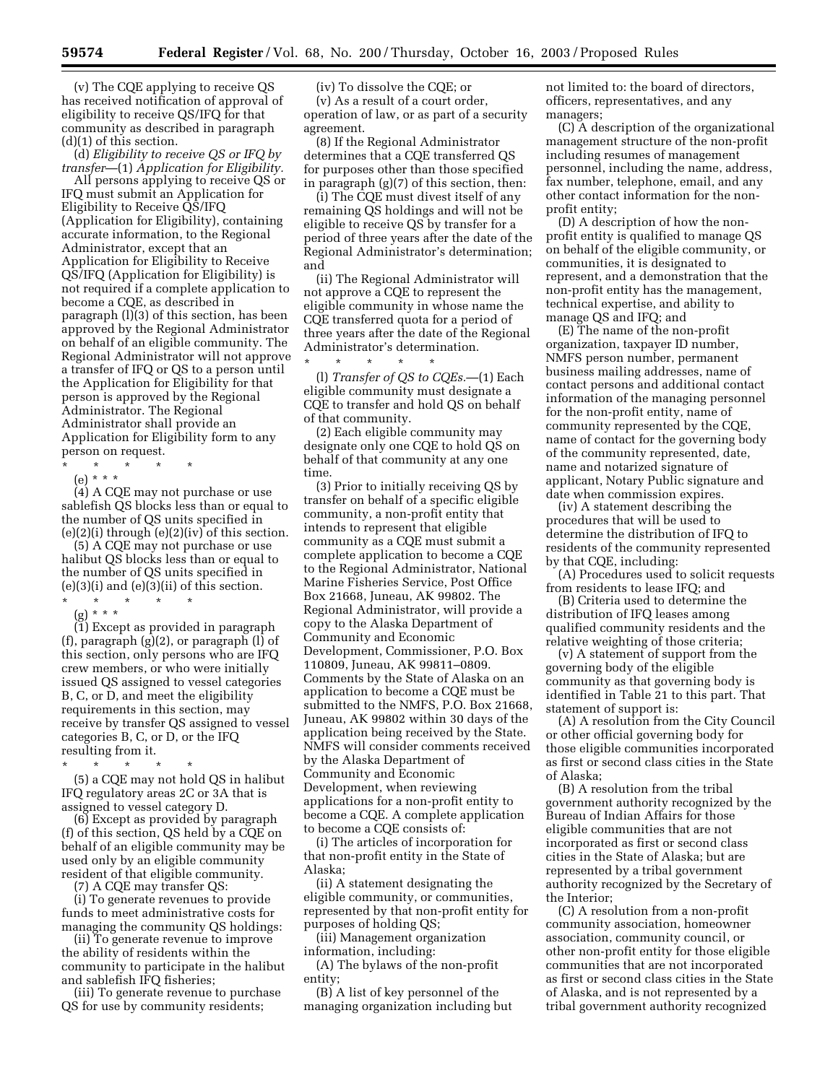(v) The CQE applying to receive QS has received notification of approval of eligibility to receive QS/IFQ for that community as described in paragraph (d)(1) of this section.

(d) *Eligibility to receive QS or IFQ by transfer*—(1) *Application for Eligibility.*

All persons applying to receive QS or IFQ must submit an Application for Eligibility to Receive QS/IFQ (Application for Eligibility), containing accurate information, to the Regional Administrator, except that an Application for Eligibility to Receive QS/IFQ (Application for Eligibility) is not required if a complete application to become a CQE, as described in paragraph (l)(3) of this section, has been approved by the Regional Administrator on behalf of an eligible community. The Regional Administrator will not approve a transfer of IFQ or QS to a person until the Application for Eligibility for that person is approved by the Regional Administrator. The Regional Administrator shall provide an Application for Eligibility form to any person on request.

\* \* \* \* \*

(e) \* \* \*

(4) A CQE may not purchase or use sablefish QS blocks less than or equal to the number of QS units specified in  $(e)(2)(i)$  through  $(e)(2)(iv)$  of this section.

(5) A CQE may not purchase or use halibut QS blocks less than or equal to the number of QS units specified in  $(e)(3)(i)$  and  $(e)(3)(ii)$  of this section. \* \* \* \* \*

(g) \* \* \*

(1) Except as provided in paragraph (f), paragraph (g)(2), or paragraph (l) of this section, only persons who are IFQ crew members, or who were initially issued QS assigned to vessel categories B, C, or D, and meet the eligibility requirements in this section, may receive by transfer QS assigned to vessel categories B, C, or D, or the IFQ resulting from it.

\* \* \* \* \*

(5) a CQE may not hold QS in halibut IFQ regulatory areas 2C or 3A that is assigned to vessel category D.

(6) Except as provided by paragraph (f) of this section, QS held by a CQE on behalf of an eligible community may be used only by an eligible community resident of that eligible community.

(7) A CQE may transfer QS:

(i) To generate revenues to provide funds to meet administrative costs for managing the community QS holdings:

(ii) To generate revenue to improve the ability of residents within the community to participate in the halibut and sablefish IFQ fisheries;

(iii) To generate revenue to purchase QS for use by community residents;

(iv) To dissolve the CQE; or (v) As a result of a court order, operation of law, or as part of a security agreement.

(8) If the Regional Administrator determines that a CQE transferred QS for purposes other than those specified in paragraph (g)(7) of this section, then:

(i) The CQE must divest itself of any remaining QS holdings and will not be eligible to receive QS by transfer for a period of three years after the date of the Regional Administrator's determination; and

(ii) The Regional Administrator will not approve a CQE to represent the eligible community in whose name the CQE transferred quota for a period of three years after the date of the Regional Administrator's determination.

\* \* \* \* \* (l) *Transfer of QS to CQEs.*—(1) Each eligible community must designate a CQE to transfer and hold QS on behalf of that community.

(2) Each eligible community may designate only one CQE to hold QS on behalf of that community at any one time.

(3) Prior to initially receiving QS by transfer on behalf of a specific eligible community, a non-profit entity that intends to represent that eligible community as a CQE must submit a complete application to become a CQE to the Regional Administrator, National Marine Fisheries Service, Post Office Box 21668, Juneau, AK 99802. The Regional Administrator, will provide a copy to the Alaska Department of Community and Economic Development, Commissioner, P.O. Box 110809, Juneau, AK 99811–0809. Comments by the State of Alaska on an application to become a CQE must be submitted to the NMFS, P.O. Box 21668, Juneau, AK 99802 within 30 days of the application being received by the State. NMFS will consider comments received by the Alaska Department of Community and Economic Development, when reviewing applications for a non-profit entity to become a CQE. A complete application to become a CQE consists of:

(i) The articles of incorporation for that non-profit entity in the State of Alaska;

(ii) A statement designating the eligible community, or communities, represented by that non-profit entity for purposes of holding QS;

(iii) Management organization information, including:

(A) The bylaws of the non-profit entity;

(B) A list of key personnel of the managing organization including but not limited to: the board of directors, officers, representatives, and any managers;

(C) A description of the organizational management structure of the non-profit including resumes of management personnel, including the name, address, fax number, telephone, email, and any other contact information for the nonprofit entity;

(D) A description of how the nonprofit entity is qualified to manage QS on behalf of the eligible community, or communities, it is designated to represent, and a demonstration that the non-profit entity has the management, technical expertise, and ability to manage QS and IFQ; and

(E) The name of the non-profit organization, taxpayer ID number, NMFS person number, permanent business mailing addresses, name of contact persons and additional contact information of the managing personnel for the non-profit entity, name of community represented by the CQE, name of contact for the governing body of the community represented, date, name and notarized signature of applicant, Notary Public signature and date when commission expires.

(iv) A statement describing the procedures that will be used to determine the distribution of IFQ to residents of the community represented by that CQE, including:

(A) Procedures used to solicit requests from residents to lease IFQ; and

(B) Criteria used to determine the distribution of IFQ leases among qualified community residents and the relative weighting of those criteria;

(v) A statement of support from the governing body of the eligible community as that governing body is identified in Table 21 to this part. That statement of support is:

(A) A resolution from the City Council or other official governing body for those eligible communities incorporated as first or second class cities in the State of Alaska;

(B) A resolution from the tribal government authority recognized by the Bureau of Indian Affairs for those eligible communities that are not incorporated as first or second class cities in the State of Alaska; but are represented by a tribal government authority recognized by the Secretary of the Interior;

(C) A resolution from a non-profit community association, homeowner association, community council, or other non-profit entity for those eligible communities that are not incorporated as first or second class cities in the State of Alaska, and is not represented by a tribal government authority recognized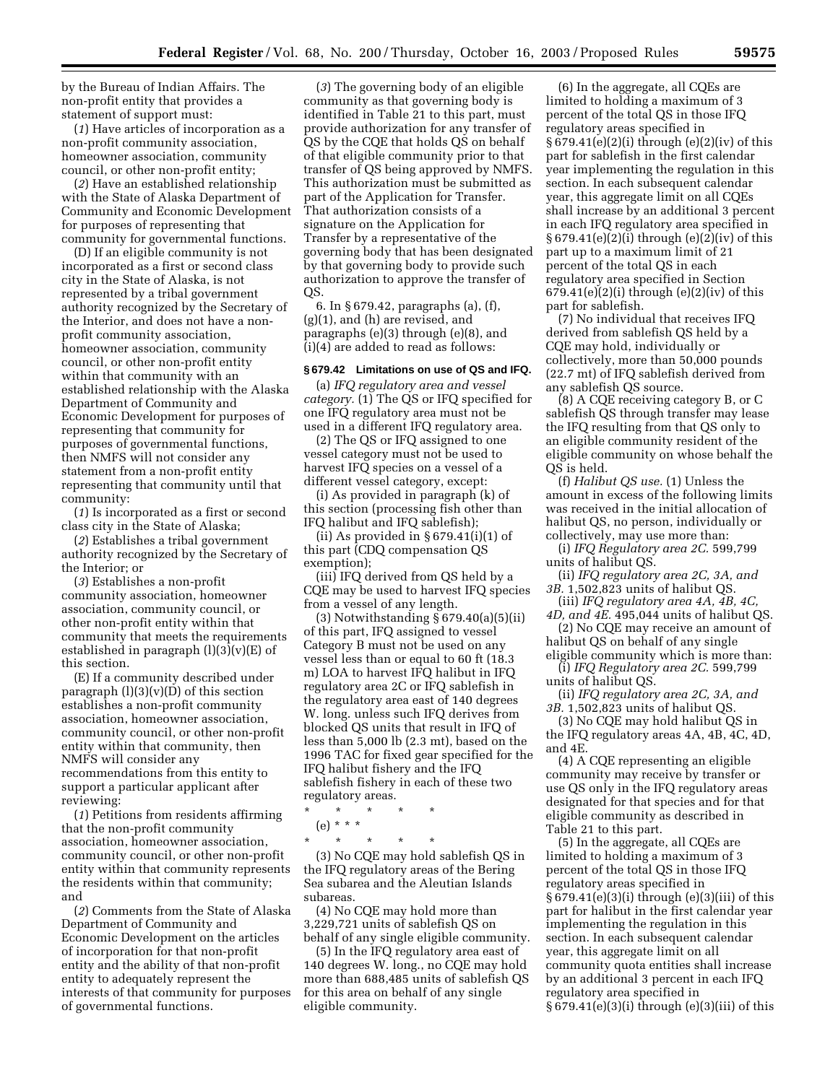by the Bureau of Indian Affairs. The non-profit entity that provides a statement of support must:

(*1*) Have articles of incorporation as a non-profit community association, homeowner association, community council, or other non-profit entity;

(*2*) Have an established relationship with the State of Alaska Department of Community and Economic Development for purposes of representing that community for governmental functions.

(D) If an eligible community is not incorporated as a first or second class city in the State of Alaska, is not represented by a tribal government authority recognized by the Secretary of the Interior, and does not have a nonprofit community association, homeowner association, community council, or other non-profit entity within that community with an established relationship with the Alaska Department of Community and Economic Development for purposes of representing that community for purposes of governmental functions, then NMFS will not consider any statement from a non-profit entity representing that community until that community:

(*1*) Is incorporated as a first or second class city in the State of Alaska;

(*2*) Establishes a tribal government authority recognized by the Secretary of the Interior; or

(*3*) Establishes a non-profit community association, homeowner association, community council, or other non-profit entity within that community that meets the requirements established in paragraph  $(l)(3)(v)(E)$  of this section.

(E) If a community described under paragraph  $(l)(3)(v)(D)$  of this section establishes a non-profit community association, homeowner association, community council, or other non-profit entity within that community, then NMFS will consider any recommendations from this entity to support a particular applicant after reviewing:

(*1*) Petitions from residents affirming that the non-profit community association, homeowner association, community council, or other non-profit entity within that community represents the residents within that community; and

(*2*) Comments from the State of Alaska Department of Community and Economic Development on the articles of incorporation for that non-profit entity and the ability of that non-profit entity to adequately represent the interests of that community for purposes of governmental functions.

(*3*) The governing body of an eligible community as that governing body is identified in Table 21 to this part, must provide authorization for any transfer of QS by the CQE that holds QS on behalf of that eligible community prior to that transfer of QS being approved by NMFS. This authorization must be submitted as part of the Application for Transfer. That authorization consists of a signature on the Application for Transfer by a representative of the governing body that has been designated by that governing body to provide such authorization to approve the transfer of QS.

6. In § 679.42, paragraphs (a), (f), (g)(1), and (h) are revised, and paragraphs (e)(3) through (e)(8), and (i)(4) are added to read as follows:

## **§ 679.42 Limitations on use of QS and IFQ.**

(a) *IFQ regulatory area and vessel category.* (1) The QS or IFQ specified for one IFQ regulatory area must not be used in a different IFQ regulatory area.

(2) The QS or IFQ assigned to one vessel category must not be used to harvest IFQ species on a vessel of a different vessel category, except:

(i) As provided in paragraph (k) of this section (processing fish other than IFQ halibut and IFQ sablefish);

(ii) As provided in § 679.41(i)(1) of this part (CDQ compensation QS exemption);

(iii) IFQ derived from QS held by a CQE may be used to harvest IFQ species from a vessel of any length.

(3) Notwithstanding § 679.40(a)(5)(ii) of this part, IFQ assigned to vessel Category B must not be used on any vessel less than or equal to 60 ft (18.3 m) LOA to harvest IFQ halibut in IFQ regulatory area 2C or IFQ sablefish in the regulatory area east of 140 degrees W. long. unless such IFQ derives from blocked QS units that result in IFQ of less than 5,000 lb (2.3 mt), based on the 1996 TAC for fixed gear specified for the IFQ halibut fishery and the IFQ sablefish fishery in each of these two regulatory areas.

\* \* \* \* \* (e) \* \* \*

\* \* \* \* \* (3) No CQE may hold sablefish QS in the IFQ regulatory areas of the Bering Sea subarea and the Aleutian Islands subareas.

(4) No CQE may hold more than 3,229,721 units of sablefish QS on behalf of any single eligible community.

(5) In the IFQ regulatory area east of 140 degrees W. long., no CQE may hold more than 688,485 units of sablefish QS for this area on behalf of any single eligible community.

(6) In the aggregate, all CQEs are limited to holding a maximum of 3 percent of the total QS in those IFQ regulatory areas specified in § 679.41(e)(2)(i) through (e)(2)(iv) of this part for sablefish in the first calendar year implementing the regulation in this section. In each subsequent calendar year, this aggregate limit on all CQEs shall increase by an additional 3 percent in each IFQ regulatory area specified in § 679.41(e)(2)(i) through (e)(2)(iv) of this part up to a maximum limit of 21 percent of the total QS in each regulatory area specified in Section  $679.41(e)(2)(i)$  through  $(e)(2)(iv)$  of this part for sablefish.

(7) No individual that receives IFQ derived from sablefish QS held by a CQE may hold, individually or collectively, more than 50,000 pounds (22.7 mt) of IFQ sablefish derived from any sablefish QS source.

(8) A CQE receiving category B, or C sablefish QS through transfer may lease the IFQ resulting from that QS only to an eligible community resident of the eligible community on whose behalf the QS is held.

(f) *Halibut QS use.* (1) Unless the amount in excess of the following limits was received in the initial allocation of halibut QS, no person, individually or collectively, may use more than:

(i) *IFQ Regulatory area 2C.* 599,799 units of halibut QS.

(ii) *IFQ regulatory area 2C, 3A, and 3B.* 1,502,823 units of halibut QS.

(iii) *IFQ regulatory area 4A, 4B, 4C, 4D, and 4E.* 495,044 units of halibut QS.

(2) No CQE may receive an amount of

halibut QS on behalf of any single eligible community which is more than:

(i) *IFQ Regulatory area 2C.* 599,799 units of halibut QS.

(ii) *IFQ regulatory area 2C, 3A, and 3B.* 1,502,823 units of halibut QS.

(3) No CQE may hold halibut QS in the IFQ regulatory areas 4A, 4B, 4C, 4D, and 4E.

(4) A CQE representing an eligible community may receive by transfer or use QS only in the IFQ regulatory areas designated for that species and for that eligible community as described in Table 21 to this part.

(5) In the aggregate, all CQEs are limited to holding a maximum of 3 percent of the total QS in those IFQ regulatory areas specified in § 679.41(e)(3)(i) through (e)(3)(iii) of this part for halibut in the first calendar year implementing the regulation in this section. In each subsequent calendar year, this aggregate limit on all community quota entities shall increase by an additional 3 percent in each IFQ regulatory area specified in § 679.41(e)(3)(i) through (e)(3)(iii) of this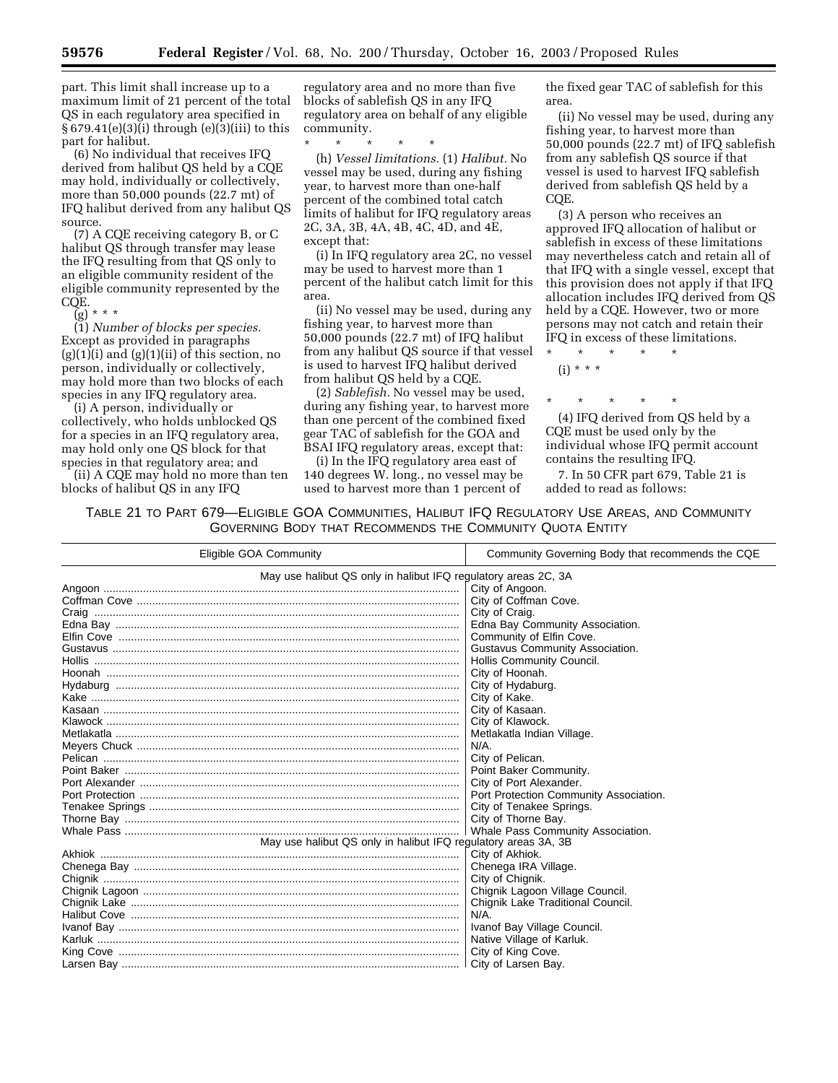part. This limit shall increase up to a maximum limit of 21 percent of the total QS in each regulatory area specified in § 679.41(e)(3)(i) through (e)(3)(iii) to this part for halibut.

(6) No individual that receives IFQ derived from halibut QS held by a CQE may hold, individually or collectively, more than 50,000 pounds (22.7 mt) of IFQ halibut derived from any halibut QS source.

(7) A CQE receiving category B, or C halibut QS through transfer may lease the IFQ resulting from that QS only to an eligible community resident of the eligible community represented by the CQE.

 $(g)$  \* \* \*

(1) *Number of blocks per species.* Except as provided in paragraphs  $(g)(1)(i)$  and  $(g)(1)(ii)$  of this section, no person, individually or collectively, may hold more than two blocks of each species in any IFQ regulatory area.

(i) A person, individually or collectively, who holds unblocked QS for a species in an IFQ regulatory area, may hold only one QS block for that species in that regulatory area; and

(ii) A CQE may hold no more than ten blocks of halibut QS in any IFQ

regulatory area and no more than five blocks of sablefish QS in any IFQ regulatory area on behalf of any eligible community.

\* \* \* \* \* (h) *Vessel limitations.* (1) *Halibut.* No vessel may be used, during any fishing year, to harvest more than one-half percent of the combined total catch limits of halibut for IFQ regulatory areas 2C, 3A, 3B, 4A, 4B, 4C, 4D, and 4E,

except that:

(i) In IFQ regulatory area 2C, no vessel may be used to harvest more than 1 percent of the halibut catch limit for this area.

(ii) No vessel may be used, during any fishing year, to harvest more than 50,000 pounds (22.7 mt) of IFQ halibut from any halibut QS source if that vessel is used to harvest IFQ halibut derived from halibut QS held by a CQE.

(2) *Sablefish.* No vessel may be used, during any fishing year, to harvest more than one percent of the combined fixed gear TAC of sablefish for the GOA and BSAI IFQ regulatory areas, except that:

(i) In the IFQ regulatory area east of 140 degrees W. long., no vessel may be used to harvest more than 1 percent of

the fixed gear TAC of sablefish for this area.

(ii) No vessel may be used, during any fishing year, to harvest more than 50,000 pounds (22.7 mt) of IFQ sablefish from any sablefish QS source if that vessel is used to harvest IFQ sablefish derived from sablefish QS held by a COE.

(3) A person who receives an approved IFQ allocation of halibut or sablefish in excess of these limitations may nevertheless catch and retain all of that IFQ with a single vessel, except that this provision does not apply if that IFQ allocation includes IFQ derived from QS held by a CQE. However, two or more persons may not catch and retain their IFQ in excess of these limitations.

\* \* \* \* \*  $(i) * * * *$ 

\* \* \* \* \*

(4) IFQ derived from QS held by a CQE must be used only by the individual whose IFQ permit account contains the resulting IFQ.

7. In 50 CFR part 679, Table 21 is added to read as follows:

TABLE 21 TO PART 679—ELIGIBLE GOA COMMUNITIES, HALIBUT IFQ REGULATORY USE AREAS, AND COMMUNITY GOVERNING BODY THAT RECOMMENDS THE COMMUNITY QUOTA ENTITY

| Eligible GOA Community                                         | Community Governing Body that recommends the CQE |  |
|----------------------------------------------------------------|--------------------------------------------------|--|
| May use halibut QS only in halibut IFQ regulatory areas 2C, 3A |                                                  |  |
|                                                                | City of Angoon.                                  |  |
|                                                                | City of Coffman Cove.                            |  |
|                                                                | City of Craig.                                   |  |
|                                                                | Edna Bay Community Association.                  |  |
|                                                                | Community of Elfin Cove.                         |  |
|                                                                | Gustavus Community Association.                  |  |
|                                                                | Hollis Community Council.                        |  |
|                                                                | City of Hoonah.                                  |  |
|                                                                | City of Hydaburg.                                |  |
|                                                                | City of Kake.                                    |  |
|                                                                | City of Kasaan.                                  |  |
|                                                                | City of Klawock.                                 |  |
|                                                                | Metlakatla Indian Village.                       |  |
|                                                                | $N/A$ .                                          |  |
|                                                                | City of Pelican.                                 |  |
|                                                                | Point Baker Community.                           |  |
|                                                                | City of Port Alexander.                          |  |
|                                                                | Port Protection Community Association.           |  |
|                                                                | City of Tenakee Springs.                         |  |
|                                                                | City of Thorne Bay.                              |  |
|                                                                | Whale Pass Community Association.                |  |
| May use halibut QS only in halibut IFQ regulatory areas 3A, 3B |                                                  |  |
|                                                                | City of Akhiok.                                  |  |
|                                                                | Chenega IRA Village.                             |  |
|                                                                | City of Chignik.                                 |  |
|                                                                | Chignik Lagoon Village Council.                  |  |
|                                                                | Chignik Lake Traditional Council.                |  |
|                                                                | $N/A$ .                                          |  |
|                                                                | Ivanof Bay Village Council.                      |  |
|                                                                | Native Village of Karluk.                        |  |
|                                                                | City of King Cove.                               |  |
|                                                                | City of Larsen Bay.                              |  |